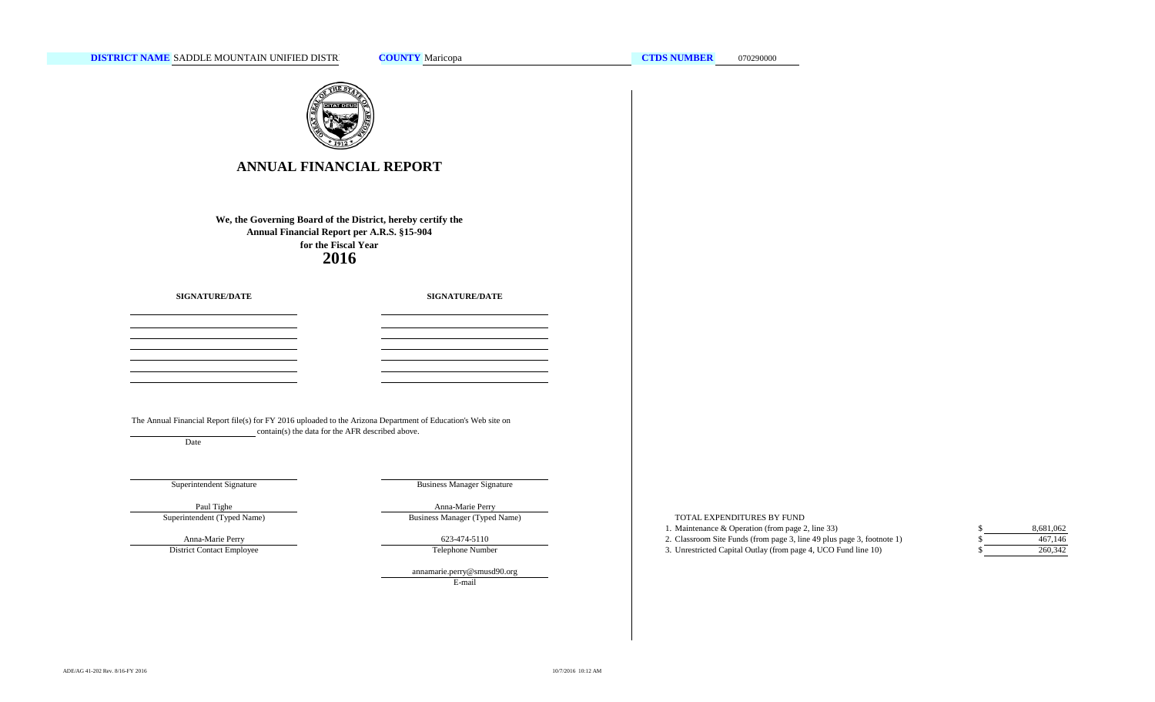

# **ANNUAL FINANCIAL REPORT**

**2016 We, the Governing Board of the District, hereby certify the Annual Financial Report per A.R.S. §15-904 for the Fiscal Year**

**SIGNATURE/DATE**

**SIGNATURE/DATE**

The Annual Financial Report file(s) for FY 2016 uploaded to the Arizona Department of Education's Web site on contain(s) the data for the AFR described above.

Date

# Superintendent Signature

Business Manager Signature

Superintendent (Typed Name) Paul Tighe **Anna-Marie Perry** 

Anna-Marie Perry District Contact Employee

Business Manager (Typed Name)

Telephone Number 623-474-5110

annamarie.perry@smusd90.org

E-mail

## TOTAL EXPENDITURES BY FUND

- 1. Maintenance & Operation (from page 2, line 33) \$
- 2. Classroom Site Funds (from page 3, line 49 plus page 3, footnote 1) \$
- 3. Unrestricted Capital Outlay (from page 4, UCO Fund line 10) \$

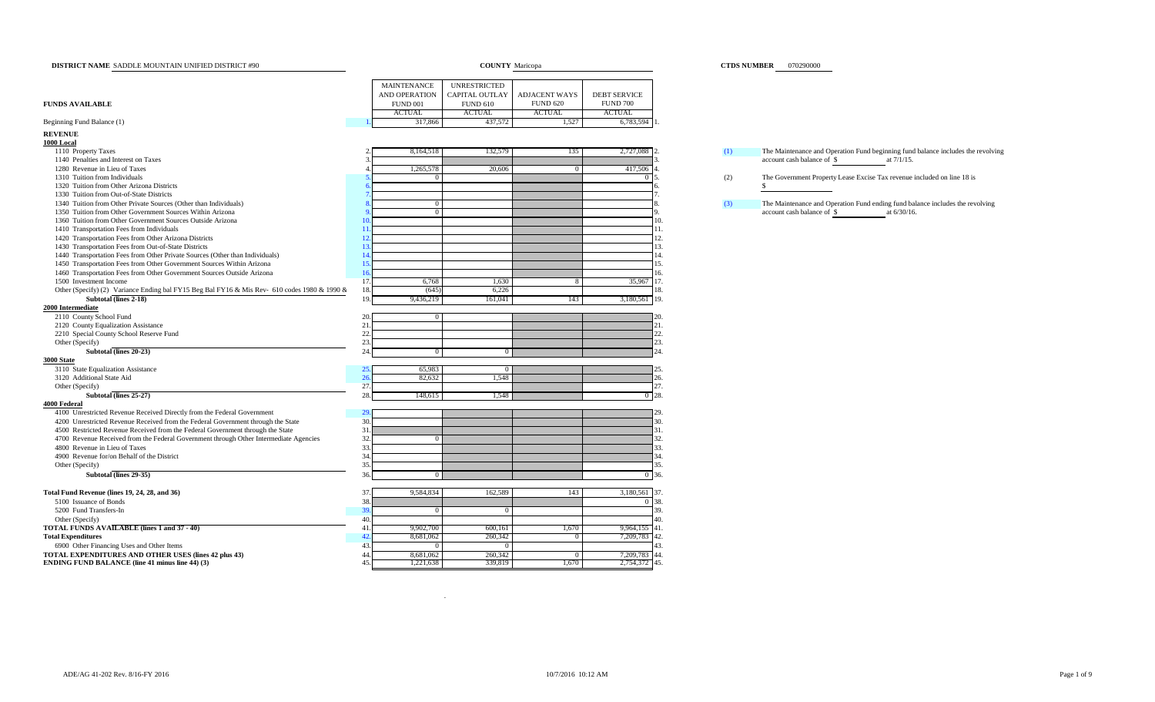| DISTRICT NAME SADDLE MOUNTAIN UNIFIED DISTRICT #90                                          |                      |                       | <b>COUNTY</b> Maricopa |                     |     | <b>CTDS NUMBER</b> 070290000                                                                                                    |
|---------------------------------------------------------------------------------------------|----------------------|-----------------------|------------------------|---------------------|-----|---------------------------------------------------------------------------------------------------------------------------------|
|                                                                                             | MAINTENANCE          | <b>UNRESTRICTED</b>   |                        |                     |     |                                                                                                                                 |
|                                                                                             | <b>AND OPERATION</b> | <b>CAPITAL OUTLAY</b> | <b>ADJACENT WAYS</b>   | <b>DEBT SERVICE</b> |     |                                                                                                                                 |
| <b>FUNDS AVAILABLE</b>                                                                      | <b>FUND 001</b>      | <b>FUND 610</b>       | <b>FUND 620</b>        | <b>FUND 700</b>     |     |                                                                                                                                 |
|                                                                                             | <b>ACTUAL</b>        | <b>ACTUAL</b>         | <b>ACTUAL</b>          | <b>ACTUAL</b>       |     |                                                                                                                                 |
| Beginning Fund Balance (1)                                                                  | 317,866              | 437,572               | 1,527                  | 6,783,594           |     |                                                                                                                                 |
|                                                                                             |                      |                       |                        |                     |     |                                                                                                                                 |
| <b>REVENUE</b>                                                                              |                      |                       |                        |                     |     |                                                                                                                                 |
| 1000 Local                                                                                  |                      |                       |                        |                     |     |                                                                                                                                 |
| 1110 Property Taxes<br>1140 Penalties and Interest on Taxes                                 | 8,164,518            | 132,579               | 135                    | 2,727,088           | (1) | The Maintenance and Operation Fund beginning fund balance includes the revolving<br>account cash balance of \$<br>at $7/1/15$ . |
| 1280 Revenue in Lieu of Taxes                                                               | 1,265,578            | 20,606                | $\overline{0}$         | 417,506             |     |                                                                                                                                 |
| 1310 Tuition from Individuals                                                               |                      |                       |                        |                     | (2) | The Government Property Lease Excise Tax revenue included on line 18 is                                                         |
| 1320 Tuition from Other Arizona Districts                                                   |                      |                       |                        |                     |     | \$                                                                                                                              |
| 1330 Tuition from Out-of-State Districts                                                    |                      |                       |                        |                     |     |                                                                                                                                 |
| 1340 Tuition from Other Private Sources (Other than Individuals)                            | $\overline{0}$       |                       |                        |                     | (3) | The Maintenance and Operation Fund ending fund balance includes the revolving                                                   |
| 1350 Tuition from Other Government Sources Within Arizona                                   | $\overline{0}$       |                       |                        |                     |     | account cash balance of \$<br>at 6/30/16.                                                                                       |
| 1360 Tuition from Other Government Sources Outside Arizona                                  |                      |                       |                        | 10.                 |     |                                                                                                                                 |
| 1410 Transportation Fees from Individuals                                                   | 11                   |                       |                        | 11.                 |     |                                                                                                                                 |
| 1420 Transportation Fees from Other Arizona Districts                                       | 12                   |                       |                        | 12.                 |     |                                                                                                                                 |
| 1430 Transportation Fees from Out-of-State Districts                                        | 13.                  |                       |                        | 13.                 |     |                                                                                                                                 |
| 1440 Transportation Fees from Other Private Sources (Other than Individuals)                | 14                   |                       |                        | 14.                 |     |                                                                                                                                 |
| 1450 Transportation Fees from Other Government Sources Within Arizona                       | 15.                  |                       |                        | 15.                 |     |                                                                                                                                 |
| 1460 Transportation Fees from Other Government Sources Outside Arizona                      | 16                   |                       |                        | 16.                 |     |                                                                                                                                 |
| 1500 Investment Income                                                                      | 17.<br>6,768         | 1,630                 |                        | 35,967 17.          |     |                                                                                                                                 |
| Other (Specify) (2) Variance Ending bal FY15 Beg Bal FY16 & Mis Rev-610 codes 1980 & 1990 & | 18.<br>(645)         | 6,226                 |                        | 18.                 |     |                                                                                                                                 |
| Subtotal (lines 2-18)                                                                       | 19<br>9,436,219      | 161,041               | 143                    | 3,180,561 19.       |     |                                                                                                                                 |
| 2000 Intermediate                                                                           |                      |                       |                        |                     |     |                                                                                                                                 |
| 2110 County School Fund                                                                     | 20<br>$\overline{0}$ |                       |                        |                     |     |                                                                                                                                 |
| 2120 County Equalization Assistance                                                         | 21                   |                       |                        | 21.                 |     |                                                                                                                                 |
| 2210 Special County School Reserve Fund                                                     | 22.                  |                       |                        | 22.                 |     |                                                                                                                                 |
| Other (Specify)                                                                             | 23.                  |                       |                        | 23.                 |     |                                                                                                                                 |
| Subtotal (lines 20-23)                                                                      | 24<br>$\overline{0}$ | $\overline{0}$        |                        | $^{24}$             |     |                                                                                                                                 |
| <b>3000 State</b>                                                                           |                      |                       |                        |                     |     |                                                                                                                                 |
| 3110 State Equalization Assistance                                                          | 65,983<br>25         | $\overline{0}$        |                        | 25                  |     |                                                                                                                                 |
| 3120 Additional State Aid                                                                   | 26<br>82,632         | 1.548                 |                        | 26.                 |     |                                                                                                                                 |
| Other (Specify)                                                                             | 27.                  |                       |                        | 27.                 |     |                                                                                                                                 |
| Subtotal (lines 25-27)                                                                      | 28.<br>148,615       | 1,548                 |                        | 28.                 |     |                                                                                                                                 |
| 4000 Federal                                                                                |                      |                       |                        |                     |     |                                                                                                                                 |
| 4100 Unrestricted Revenue Received Directly from the Federal Government                     | 29.                  |                       |                        | 29                  |     |                                                                                                                                 |
| 4200 Unrestricted Revenue Received from the Federal Government through the State            | 30                   |                       |                        | 30.                 |     |                                                                                                                                 |
| 4500 Restricted Revenue Received from the Federal Government through the State              | 31.                  |                       |                        | 31.                 |     |                                                                                                                                 |
| 4700 Revenue Received from the Federal Government through Other Intermediate Agencies       | 32                   |                       |                        | 32.                 |     |                                                                                                                                 |
| 4800 Revenue in Lieu of Taxes                                                               | 33.                  |                       |                        | 33.                 |     |                                                                                                                                 |
| 4900 Revenue for/on Behalf of the District                                                  | 34.<br>35.           |                       |                        | 34<br>35.           |     |                                                                                                                                 |
| Other (Specify)                                                                             |                      |                       |                        |                     |     |                                                                                                                                 |
| Subtotal (lines 29-35)                                                                      | 36<br>$^{\circ}$     |                       |                        | 36.                 |     |                                                                                                                                 |
| Total Fund Revenue (lines 19, 24, 28, and 36)                                               | 9,584,834<br>37      | 162,589               | 143                    | 3,180,561 37.       |     |                                                                                                                                 |
| 5100 Issuance of Bonds                                                                      | 38.                  |                       |                        | 38.<br>$^{\circ}$   |     |                                                                                                                                 |
| 5200 Fund Transfers-In                                                                      | 39.<br>$\Omega$      | $\Omega$              |                        | 39.                 |     |                                                                                                                                 |
| Other (Specify)                                                                             | 40.                  |                       |                        | 40.                 |     |                                                                                                                                 |
| TOTAL FUNDS AVAILABLE (lines 1 and 37 - 40)                                                 | 41.<br>9,902,700     | 600,161               | 1,670                  | 41.<br>9,964,155    |     |                                                                                                                                 |
| <b>Total Expenditures</b>                                                                   | 42<br>8,681,062      | 260,342               |                        | 7,209,783<br>42.    |     |                                                                                                                                 |
| 6900 Other Financing Uses and Other Items                                                   | 43                   | $\Omega$              |                        | 43.                 |     |                                                                                                                                 |
| TOTAL EXPENDITURES AND OTHER USES (lines 42 plus 43)                                        | 44<br>8,681,062      | 260,342               | $\mathbf{0}$           | 7,209,783<br>44.    |     |                                                                                                                                 |
| <b>ENDING FUND BALANCE (line 41 minus line 44) (3)</b>                                      | 1,221,638<br>45.     | 339,819               | 1,670                  | 2,754,372 45.       |     |                                                                                                                                 |

**CTDS NUMBER** 070290000

.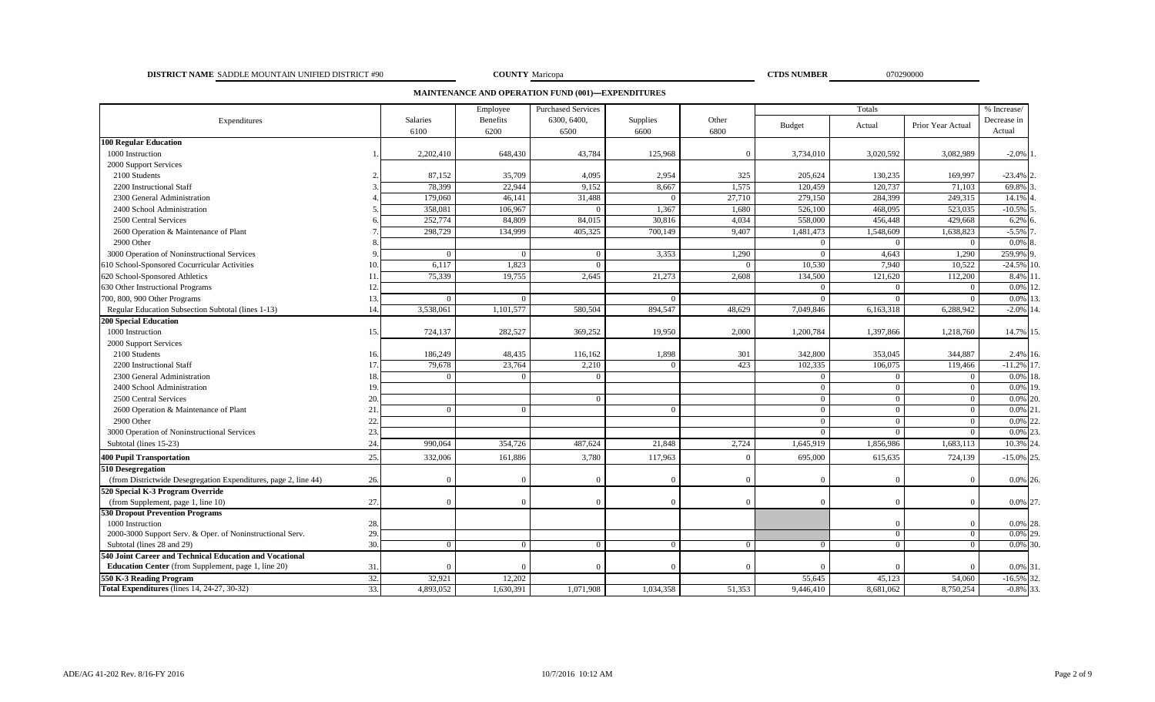### **DISTRICT NAME COUNTY CTDS NUMBER** SADDLE MOUNTAIN UNIFIED DISTRICT #90 070290000

**COUNTY** Maricopa

**MAINTENANCE AND OPERATION FUND (001)—EXPENDITURES**

|                                                                 |     | Employee  | <b>Purchased Services</b> |             |           | Totals   |                |                |                   |              |
|-----------------------------------------------------------------|-----|-----------|---------------------------|-------------|-----------|----------|----------------|----------------|-------------------|--------------|
| Expenditures                                                    |     | Salaries  | <b>Benefits</b>           | 6300, 6400, | Supplies  | Other    | <b>Budget</b>  | Actual         | Prior Year Actual | Decrease in  |
|                                                                 |     | 6100      | 6200                      | 6500        | 6600      | 6800     |                |                |                   | Actual       |
| <b>100 Regular Education</b>                                    |     |           |                           |             |           |          |                |                |                   |              |
| 1000 Instruction                                                |     | 2,202,410 | 648,430                   | 43,784      | 125,968   | $\Omega$ | 3,734,010      | 3,020,592      | 3,082,989         | $-2.0\%$     |
| 2000 Support Services                                           |     |           |                           |             |           |          |                |                |                   |              |
| 2100 Students                                                   |     | 87,152    | 35,709                    | 4,095       | 2,954     | 325      | 205,624        | 130,235        | 169,997           | $-23.4%$     |
| 2200 Instructional Staff                                        |     | 78,399    | 22,944                    | 9,152       | 8.667     | 1,575    | 120.459        | 120,737        | 71.103            | 69.8%        |
| 2300 General Administration                                     |     | 179,060   | 46,141                    | 31,488      | $\Omega$  | 27,710   | 279,150        | 284,399        | 249,315           | 14.1%        |
| 2400 School Administration                                      |     | 358,081   | 106,967                   |             | 1,367     | 1,680    | 526,100        | 468,095        | 523,035           | $-10.5%$     |
| 2500 Central Services                                           |     | 252,774   | 84,809                    | 84,015      | 30,816    | 4,034    | 558,000        | 456,448        | 429,668           | 6.2%         |
| 2600 Operation & Maintenance of Plant                           |     | 298,729   | 134,999                   | 405,325     | 700,149   | 9,407    | 1,481,473      | 1,548,609      | 1,638,823         | $-5.5%$      |
| 2900 Other                                                      |     |           |                           |             |           |          | $\Omega$       | $\Omega$       | $\overline{0}$    | 0.0%         |
| 3000 Operation of Noninstructional Services                     |     |           | $\Omega$                  |             | 3,353     | 1,290    | $\Omega$       | 4,643          | 1,290             | 259.9%       |
| 610 School-Sponsored Cocurricular Activities                    |     | 6,117     | 1,823                     | $\Omega$    |           | $\Omega$ | 10,530         | 7,940          | 10,522            | $-24.5\%$ 10 |
| 620 School-Sponsored Athletics                                  |     | 75,339    | 19,755                    | 2,645       | 21,273    | 2,608    | 134,500        | 121,620        | 112,200           | 8.4%         |
| 630 Other Instructional Programs                                |     |           |                           |             |           |          | $\Omega$       | $\Omega$       | $\overline{0}$    | 0.0%         |
| 700, 800, 900 Other Programs                                    | 13  | $\Omega$  | $\Omega$                  |             | $\Omega$  |          | $\Omega$       | $\Omega$       | $\Omega$          | $0.0\%$ 1    |
| Regular Education Subsection Subtotal (lines 1-13)              | 14  | 3,538,061 | 1,101,577                 | 580,504     | 894.547   | 48.629   | 7,049,846      | 6,163,318      | 6,288,942         | $-2.0\%$ 14  |
| <b>200 Special Education</b>                                    |     |           |                           |             |           |          |                |                |                   |              |
| 1000 Instruction                                                | 15  | 724,137   | 282,527                   | 369,252     | 19,950    | 2,000    | 1,200,784      | 1,397,866      | 1,218,760         | 14.7% 15.    |
| 2000 Support Services                                           |     |           |                           |             |           |          |                |                |                   |              |
| 2100 Students                                                   | 16  | 186,249   | 48,435                    | 116,162     | 1,898     | 301      | 342,800        | 353,045        | 344,887           | 2.4% 16.     |
| 2200 Instructional Staff                                        |     | 79,678    | 23,764                    | 2,210       | $\Omega$  | 423      | 102,335        | 106,075        | 119,466           | $-11.2\%$ 17 |
| 2300 General Administration                                     |     |           | $\Omega$                  |             |           |          | $\Omega$       | $\Omega$       | $\bf{0}$          | $0.0\%$ 18   |
| 2400 School Administration                                      | 19  |           |                           |             |           |          | $\Omega$       | $\overline{0}$ | $\overline{0}$    | $0.0\%$ 19.  |
| 2500 Central Services                                           | 20  |           |                           |             |           |          | $\overline{0}$ | $\overline{0}$ | $\overline{0}$    | $0.0\%$ 20.  |
| 2600 Operation & Maintenance of Plant                           | 21  | $\Omega$  | $\Omega$                  |             | $\Omega$  |          | $\overline{0}$ | $\overline{0}$ | $\overline{0}$    | $0.0\%$ 2    |
| 2900 Other                                                      | 22  |           |                           |             |           |          | $\Omega$       | $\overline{0}$ | $\overline{0}$    | 0.0%         |
| 3000 Operation of Noninstructional Services                     | 23. |           |                           |             |           |          | $\Omega$       | $\Omega$       | $\overline{0}$    | 0.0%         |
| Subtotal (lines 15-23)                                          | 24  | 990,064   | 354,726                   | 487,624     | 21,848    | 2,724    | 1,645,919      | 1,856,986      | 1,683,113         | 10.3% 24     |
| <b>400 Pupil Transportation</b>                                 | 25. | 332,006   | 161,886                   | 3,780       | 117,963   | $\Omega$ | 695,000        | 615,635        | 724,139           | $-15.0\%$ 25 |
| 510 Desegregation                                               |     |           |                           |             |           |          |                |                |                   |              |
| (from Districtwide Desegregation Expenditures, page 2, line 44) | 26. | $\Omega$  | $\Omega$                  |             | $\theta$  | $\Omega$ | $\Omega$       | $\overline{0}$ | $\overline{0}$    | 0.0% 26.     |
| 520 Special K-3 Program Override                                |     |           |                           |             |           |          |                |                |                   |              |
| (from Supplement, page 1, line 10)                              | 27. | $\Omega$  | $\Omega$                  | $\Omega$    | $\Omega$  | $\Omega$ | $\Omega$       | $\Omega$       | $\Omega$          | 0.0% 27.     |
| 530 Dropout Prevention Programs                                 |     |           |                           |             |           |          |                |                |                   |              |
| 1000 Instruction                                                | 28. |           |                           |             |           |          |                | $\Omega$       |                   | 0.0% 28.     |
| 2000-3000 Support Serv. & Oper. of Noninstructional Serv.       | 29. |           |                           |             |           |          |                | $\Omega$       | $\Omega$          | $0.0\%$ 29.  |
| Subtotal (lines 28 and 29)                                      | 30. | $\Omega$  | $\Omega$                  |             | $\Omega$  | $\Omega$ | $\Omega$       | $\Omega$       | $\Omega$          | $0.0\%$ 30.  |
| 540 Joint Career and Technical Education and Vocational         |     |           |                           |             |           |          |                |                |                   |              |
| <b>Education Center</b> (from Supplement, page 1, line 20)      | 31  |           |                           |             | $\Omega$  |          | $\Omega$       |                | $\Omega$          | 0.0% 31      |
| 550 K-3 Reading Program                                         | 32. | 32,921    | 12,202                    |             |           |          | 55,645         | 45,123         | 54,060            | $-16.5\%$ 32 |
| Total Expenditures (lines 14, 24-27, 30-32)                     | 33. | 4,893,052 | 1,630,391                 | 1,071,908   | 1,034,358 | 51,353   | 9,446,410      | 8,681,062      | 8,750,254         | $-0.8\%$ 33  |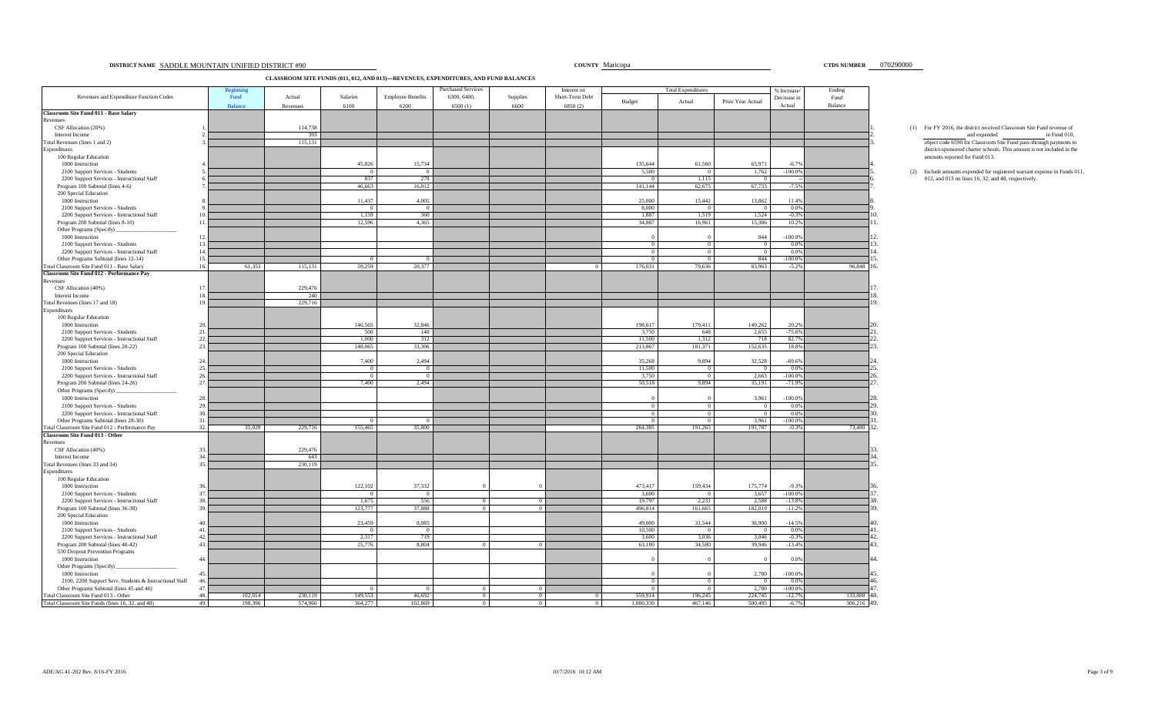### **DISTRICT NAME SADDLE MOUNTAIN UNIFIED DISTRICT #90** Maricopa **District in the county of the county of the county of the county of the county of the county of the county of the county of the county of the county of the cou**

**CLASSROOM SITE FUNDS (011, 012, AND 013)—REVENUES, EXPENDITURES, AND FUND BALANCES**

|                                                                                                      |                 | Beginnir       |          |                         |                          | <b>Purchased Services</b> |                      | Interest on     |                            | <b>Total Expenditures</b>        |                         | % Increase/       | Ending      |
|------------------------------------------------------------------------------------------------------|-----------------|----------------|----------|-------------------------|--------------------------|---------------------------|----------------------|-----------------|----------------------------|----------------------------------|-------------------------|-------------------|-------------|
| Revenues and Expenditure Function Codes                                                              |                 | Fund           | Actual   | Salaries                | <b>Employee Benefits</b> | 6300, 6400,               | Supplies             | Short-Term Debt | Budget                     | Actual                           | Prior Year Actual       | Decrease in       | Fund        |
|                                                                                                      |                 | <b>Balance</b> | Revenues | 6100                    | 6200                     | 6500(1)                   | 6600                 | 6850 (2)        |                            |                                  |                         | Actual            | Balance     |
| <b>Classroom Site Fund 011 - Base Salary</b>                                                         |                 |                |          |                         |                          |                           |                      |                 |                            |                                  |                         |                   |             |
| Revenues<br>CSF Allocation (20%)                                                                     |                 |                | 114,738  |                         |                          |                           |                      |                 |                            |                                  |                         |                   |             |
| Interest Income                                                                                      |                 |                | 393      |                         |                          |                           |                      |                 |                            |                                  |                         |                   |             |
| Total Revenues (lines 1 and 2)                                                                       |                 |                | 115,131  |                         |                          |                           |                      |                 |                            |                                  |                         |                   |             |
| Expenditures                                                                                         |                 |                |          |                         |                          |                           |                      |                 |                            |                                  |                         |                   |             |
| 100 Regular Education                                                                                |                 |                |          |                         |                          |                           |                      |                 |                            |                                  |                         |                   |             |
| 1000 Instruction                                                                                     |                 |                |          | 45,826                  | 15,734                   |                           |                      |                 | 135,644                    | 61,560                           | 65,971                  | $-6.7%$           |             |
| 2100 Support Services - Students<br>2200 Support Services - Instructional Staff                      |                 |                |          | $\overline{0}$<br>837   | $\overline{0}$<br>278    |                           |                      |                 | 5,500<br>$\Omega$          | $\overline{0}$<br>1,115          | 1,762                   | $-100.0\%$        |             |
| Program 100 Subtotal (lines 4-6)                                                                     |                 |                |          | 46,663                  | 16,012                   |                           |                      |                 | 141,144                    | 62,675                           | 67,733                  | $-7.5%$           |             |
| 200 Special Education                                                                                |                 |                |          |                         |                          |                           |                      |                 |                            |                                  |                         |                   |             |
| 1000 Instruction                                                                                     |                 |                |          | 11,437                  | 4,005                    |                           |                      |                 | 25,000                     | 15,442                           | 13,862                  | 11.4%             |             |
| 2100 Support Services - Students                                                                     |                 |                |          | $\Omega$                | $\overline{0}$           |                           |                      |                 | 8,000                      | $\overline{0}$                   | $\Omega$                | 0.0%              |             |
| 2200 Support Services - Instructional Staff                                                          | 10 <sup>1</sup> |                |          | 1,159                   | 360                      |                           |                      |                 | 1,887                      | 1,519                            | 1,524                   | $-0.3%$           |             |
| Program 200 Subtotal (lines 8-10)                                                                    | 11.             |                |          | 12,596                  | 4.365                    |                           |                      |                 | 34,887                     | 16,961                           | 15,386                  | 10.2%             |             |
| Other Programs (Specify)                                                                             |                 |                |          |                         |                          |                           |                      |                 |                            |                                  |                         |                   |             |
| 1000 Instruction                                                                                     | 12.<br>13.      |                |          |                         |                          |                           |                      |                 | $\overline{0}$             | $\overline{0}$                   | 844<br>$\Omega$         | $-100.0%$<br>0.0% |             |
| 2100 Support Services - Students<br>2200 Support Services - Instructional Staff                      | 14.             |                |          |                         |                          |                           |                      |                 | $\overline{0}$             | $\overline{0}$                   | $\Omega$                | 0.0%              |             |
| Other Programs Subtotal (lines 12-14)                                                                | 15.             |                |          | $\overline{0}$          | $\Omega$                 |                           |                      |                 | $\overline{0}$             | $\overline{0}$                   | 844                     | $-100.0%$         |             |
| <b>Cotal Classroom Site Fund 011 - Base Salary</b>                                                   | 16.             | 61,353         | 115,131  | 59,259                  | 20,377                   |                           |                      |                 | 176,031                    | 79,636                           | 83,963                  | $-5.2%$           | 96,848 1    |
| <b>Classroom Site Fund 012 - Performance Pay</b>                                                     |                 |                |          |                         |                          |                           |                      |                 |                            |                                  |                         |                   |             |
| Revenues                                                                                             |                 |                |          |                         |                          |                           |                      |                 |                            |                                  |                         |                   |             |
| CSF Allocation (40%)                                                                                 | 17.             |                | 229,476  |                         |                          |                           |                      |                 |                            |                                  |                         |                   |             |
| Interest Income                                                                                      | 18              |                | 240      |                         |                          |                           |                      |                 |                            |                                  |                         |                   |             |
| Total Revenues (lines 17 and 18)<br>Expenditures                                                     | 19.             |                | 229,716  |                         |                          |                           |                      |                 |                            |                                  |                         |                   |             |
| 100 Regular Education                                                                                |                 |                |          |                         |                          |                           |                      |                 |                            |                                  |                         |                   |             |
| 1000 Instruction                                                                                     | 20.             |                |          | 146.565                 | 32,846                   |                           |                      |                 | 198,617                    | 179,411                          | 149,262                 | 20.2%             |             |
| 2100 Support Services - Students                                                                     | 21.             |                |          | 500                     | 148                      |                           |                      |                 | 3,750                      | 648                              | 2,655                   | $-75.6%$          |             |
| 2200 Support Services - Instructional Staff                                                          | 22.             |                |          | 1.000                   | 312                      |                           |                      |                 | 11,500                     | 1,312                            | 718                     | 82.7%             |             |
| Program 100 Subtotal (lines 20-22)                                                                   | 23.             |                |          | 148,065                 | 33,306                   |                           |                      |                 | 213,867                    | 181,371                          | 152,635                 | 18.8%             |             |
| 200 Special Education                                                                                |                 |                |          |                         |                          |                           |                      |                 |                            |                                  |                         |                   |             |
| 1000 Instruction                                                                                     | 24.             |                |          | 7.400                   | 2.494                    |                           |                      |                 | 35,268                     | 9.894                            | 32.528                  | $-69.6%$          |             |
| 2100 Support Services - Students                                                                     | 25.             |                |          | $\Omega$                | $\Omega$                 |                           |                      |                 | 11,500                     | $\overline{0}$                   | $\overline{0}$          | 0.0%<br>$-100.0%$ |             |
| 2200 Support Services - Instructional Staff<br>Program 200 Subtotal (lines 24-26)                    | 26.<br>27.      |                |          | $\overline{0}$<br>7,400 | $\overline{0}$<br>2,494  |                           |                      |                 | 3,750<br>50,518            | $\overline{0}$<br>9,894          | 2,663<br>35,191         | $-71.9%$          |             |
| Other Programs (Specify)                                                                             |                 |                |          |                         |                          |                           |                      |                 |                            |                                  |                         |                   |             |
| 1000 Instruction                                                                                     | 28.             |                |          |                         |                          |                           |                      |                 |                            | $\Omega$                         | 3.961                   | $-100.0%$         |             |
| 2100 Support Services - Students                                                                     | 29.             |                |          |                         |                          |                           |                      |                 | $\overline{0}$             | $\overline{0}$                   | $\overline{0}$          | 0.0%              |             |
| 2200 Support Services - Instructional Staff                                                          | 30.             |                |          |                         |                          |                           |                      |                 | $\bf{0}$                   | $\overline{0}$                   | $\Omega$                | 0.0%              |             |
| Other Programs Subtotal (lines 28-30)                                                                | 31.             |                |          | $^{\circ}$              |                          |                           |                      |                 | $\overline{0}$             | $\overline{0}$                   | 3.961                   | $-100.0%$         |             |
| Total Classroom Site Fund 012 - Performance Pay                                                      | 32.             | 35,029         | 229,716  | 155.465                 | 35.800                   |                           |                      |                 | 264.385                    | 191.265                          | 191.787                 | $-0.3%$           | 73,480      |
| Classroom Site Fund 013 - Other<br>Revenues                                                          |                 |                |          |                         |                          |                           |                      |                 |                            |                                  |                         |                   |             |
|                                                                                                      |                 |                | 229,476  |                         |                          |                           |                      |                 |                            |                                  |                         |                   |             |
| CSF Allocation (40%)<br>Interest Income                                                              | 33.<br>34       |                | 643      |                         |                          |                           |                      |                 |                            |                                  |                         |                   |             |
| Total Revenues (lines 33 and 34)                                                                     | 35.             |                | 230,119  |                         |                          |                           |                      |                 |                            |                                  |                         |                   |             |
| Expenditures                                                                                         |                 |                |          |                         |                          |                           |                      |                 |                            |                                  |                         |                   |             |
| 100 Regular Education                                                                                |                 |                |          |                         |                          |                           |                      |                 |                            |                                  |                         |                   |             |
| 1000 Instruction                                                                                     | 36              |                |          | 122,102                 | 37,332                   |                           |                      |                 | 473,417                    | 159,434                          | 175,774                 | $-9.3%$           |             |
| 2100 Support Services - Students                                                                     | 37.             |                |          |                         | $\overline{0}$           |                           |                      |                 | 3,600                      |                                  | 3,657                   | $-100.0%$         |             |
| 2200 Support Services - Instructional Staff                                                          | 38.             |                |          | 1.675                   | 556                      | $\overline{0}$            | $\Omega$             |                 | 19,797                     | 2.231                            | 2.588                   | $-13.8%$          |             |
| Program 100 Subtotal (lines 36-38)<br>200 Special Education                                          | 39.             |                |          | 123,777                 | 37.888                   | $\overline{0}$            | $\overline{0}$       |                 | 496,814                    | 161,665                          | 182,019                 | $-11.2%$          |             |
| 1000 Instruction                                                                                     | 40.             |                |          | 23,459                  | 8,085                    |                           |                      |                 | 49,000                     | 31,544                           | 36,900                  | $-14.5%$          |             |
| 2100 Support Services - Students                                                                     | 41.             |                |          |                         | $\mathbf{0}$             |                           |                      |                 | 10,500                     | $\overline{0}$                   |                         | 0.0%              |             |
| 2200 Support Services - Instructional Staff                                                          | 42.             |                |          | 2,317                   | 719                      |                           |                      |                 | 3,600                      | 3,036                            | 3,046                   | $-0.3%$           |             |
| Program 200 Subtotal (lines 40-42)                                                                   | 43.             |                |          | 25,776                  | 8.804                    | $\Omega$                  | $^{\circ}$           |                 | 63.100                     | 34,580                           | 39.946                  | $-13.4%$          |             |
| 530 Dropout Prevention Programs                                                                      |                 |                |          |                         |                          |                           |                      |                 |                            |                                  |                         |                   |             |
| 1000 Instruction                                                                                     | 44.             |                |          |                         |                          |                           |                      |                 |                            |                                  |                         | 0.0%              |             |
| Other Programs (Specify)                                                                             |                 |                |          |                         |                          |                           |                      |                 |                            |                                  |                         |                   |             |
| 1000 Instruction                                                                                     | 45.             |                |          |                         |                          |                           |                      |                 |                            |                                  | 2.780                   | $-100.0%$         |             |
| 2100, 2200 Support Serv. Students & Instructional Staff<br>Other Programs Subtotal (lines 45 and 46) | 46<br>47.       |                |          | $\Omega$                | $\Omega$                 | $\overline{0}$            |                      |                 | $\bf{0}$<br>$\overline{0}$ | $\overline{0}$<br>$\overline{0}$ | $\overline{0}$<br>2.780 | 0.0%<br>$-100.0%$ |             |
| Total Classroom Site Fund 013 - Other                                                                | 48.             | 102,014        | 230,119  | 149,553                 | 46.692                   | $\overline{0}$            | $\Omega$<br>$\Omega$ | $\Omega$        | 559,914                    | 196,245                          | 224,745                 | $-12.7%$          | 135,888 48. |
| Total Classroom Site Funds (lines 16, 32, and 48)                                                    | 49.             | 198,396        | 574,966  | 364,277                 | 102,869                  | $\overline{0}$            | $\overline{0}$       | $^{\circ}$      | 1,000,330                  | 467,146                          | 500,495                 | $-6.7%$           | 306.216 49. |
|                                                                                                      |                 |                |          |                         |                          |                           |                      |                 |                            |                                  |                         |                   |             |

# $(1)$  For FY 2016, the district received Classroom Site Fund revenue of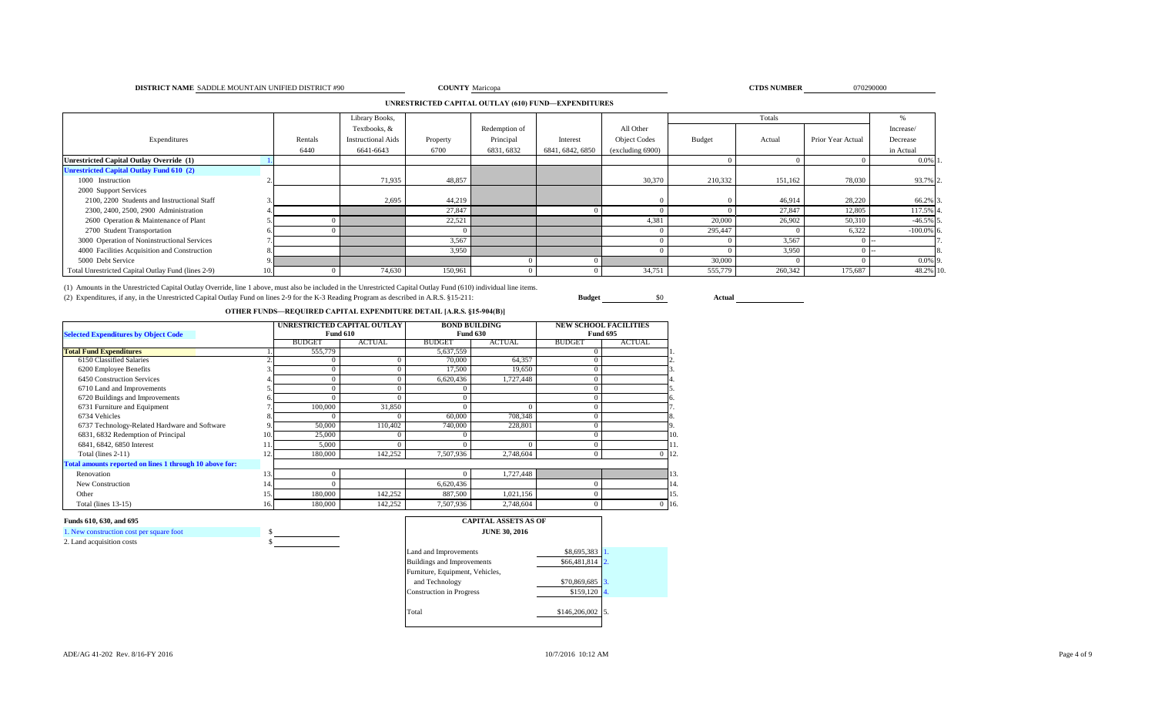### **DISTRICT NAME** SADDLE MOUNTAIN UNIFIED DISTRICT #90 **COUNTY** Maricopa **COUNTY Maricopa COUNTY COUNTY COUNTY COUNTY COUNTY COUNTY COUNTY COUNTY COUNTY COUNTY COUNTY COUNTY COUNTY COUNTY COUNTY**

# **COUNTY** Maricopa **070290000 CTDS NUMBER** 070290000

# **UNRESTRICTED CAPITAL OUTLAY (610) FUND—EXPENDITURES**

|                                                    |         | Library Books,            |          |               |                  |                     | Totals        |         |                   |              |
|----------------------------------------------------|---------|---------------------------|----------|---------------|------------------|---------------------|---------------|---------|-------------------|--------------|
|                                                    |         | Textbooks, &              |          | Redemption of |                  | All Other           |               |         |                   | Increase/    |
| Expenditures                                       | Rentals | <b>Instructional Aids</b> | Property | Principal     | Interest         | <b>Object Codes</b> | <b>Budget</b> | Actual  | Prior Year Actual | Decrease     |
|                                                    | 6440    | 6641-6643                 | 6700     | 6831, 6832    | 6841, 6842, 6850 | (excluding 6900)    |               |         |                   | in Actual    |
| Unrestricted Capital Outlay Override (1)           |         |                           |          |               |                  |                     |               |         |                   | $0.0\%$ 1.   |
| <b>Unrestricted Capital Outlay Fund 610 (2)</b>    |         |                           |          |               |                  |                     |               |         |                   |              |
| 1000 Instruction                                   |         | 71,935                    | 48,857   |               |                  | 30,370              | 210,332       | 151,162 | 78,030            | 93.7% 2.     |
| 2000 Support Services                              |         |                           |          |               |                  |                     |               |         |                   |              |
| 2100, 2200 Students and Instructional Staff        |         | 2,695                     | 44,219   |               |                  |                     |               | 46,914  | 28,220            | 66.2% 3      |
| 2300, 2400, 2500, 2900 Administration              |         |                           | 27,847   |               |                  |                     |               | 27,847  | 12,805            | 117.5% 4     |
| 2600 Operation & Maintenance of Plant              |         |                           | 22,521   |               |                  | 4,381               | 20,000        | 26,902  | 50,310            | $-46.5\%$ 5  |
| 2700 Student Transportation                        |         |                           |          |               |                  |                     | 295,447       |         | 6,322             | $-100.0\%$ 6 |
| 3000 Operation of Noninstructional Services        |         |                           | 3,567    |               |                  |                     |               | 3,567   |                   |              |
| 4000 Facilities Acquisition and Construction       |         |                           | 3,950    |               |                  |                     |               | 3,950   |                   |              |
| 5000 Debt Service                                  |         |                           |          |               |                  |                     | 30,000        |         |                   | $0.0\%$ 9.   |
| Total Unrestricted Capital Outlay Fund (lines 2-9) |         | 74,630                    | 150,961  |               |                  | 34,751              | 555,779       | 260,342 | 175,687           | 48.2% 10.    |

(1) Amounts in the Unrestricted Capital Outlay Override, line 1 above, must also be included in the Unrestricted Capital Outlay Fund (610) individual line items.

(2) Expenditures, if any, in the Unrestricted Capital Outlay Fund on lines 2-9 for the K-3 Reading Program as described in A.R.S. §15-211: **Budget** \$0 **Actual**

# **OTHER FUNDS—REQUIRED CAPITAL EXPENDITURE DETAIL [A.R.S. §15-904(B)]**

| <b>Selected Expenditures by Object Code</b>             |     | UNRESTRICTED CAPITAL OUTLAY | <b>Fund 610</b> |               | <b>BOND BUILDING</b><br><b>Fund 630</b> |               | <b>NEW SCHOOL FACILITIES</b><br><b>Fund 695</b> |     |
|---------------------------------------------------------|-----|-----------------------------|-----------------|---------------|-----------------------------------------|---------------|-------------------------------------------------|-----|
|                                                         |     | <b>BUDGET</b>               | <b>ACTUAL</b>   | <b>BUDGET</b> | <b>ACTUAL</b>                           | <b>BUDGET</b> | <b>ACTUAL</b>                                   |     |
| <b>Total Fund Expenditures</b>                          |     | 555,779                     |                 | 5,637,559     |                                         | $\Omega$      |                                                 |     |
| 6150 Classified Salaries                                |     | $\Omega$                    |                 | 70,000        | 64,357                                  |               |                                                 |     |
| 6200 Employee Benefits                                  |     | $\Omega$                    |                 | 17,500        | 19,650                                  | $\theta$      |                                                 |     |
| 6450 Construction Services                              |     | $\theta$                    |                 | 6,620,436     | 1,727,448                               |               |                                                 |     |
| 6710 Land and Improvements                              |     | $\theta$                    |                 |               |                                         |               |                                                 |     |
| 6720 Buildings and Improvements                         |     |                             | $\Omega$        |               |                                         | $\Omega$      |                                                 |     |
| 6731 Furniture and Equipment                            |     | 100,000                     | 31,850          |               |                                         | $\Omega$      |                                                 |     |
| 6734 Vehicles                                           |     | $\Omega$                    |                 | 60,000        | 708,348                                 | $\Omega$      |                                                 | ð.  |
| 6737 Technology-Related Hardware and Software           |     | 50,000                      | 110,402         | 740,000       | 228,801                                 | $\theta$      |                                                 |     |
| 6831, 6832 Redemption of Principal                      | 10. | 25,000                      | $\Omega$        |               |                                         | $\Omega$      |                                                 | 10. |
| 6841, 6842, 6850 Interest                               |     | 5,000                       |                 |               |                                         |               |                                                 | 11. |
| Total (lines $2-11$ )                                   |     | 180,000                     | 142,252         | 7,507,936     | 2,748,604                               | $\Omega$      | $\Omega$                                        | 12. |
| Total amounts reported on lines 1 through 10 above for: |     |                             |                 |               |                                         |               |                                                 |     |
| Renovation                                              | 13. | $\mathbf{0}$                |                 |               | 1,727,448                               |               |                                                 | 13  |
| New Construction                                        | 14. | $\Omega$                    |                 | 6,620,436     |                                         | $\Omega$      |                                                 | 14. |
| Other                                                   | 15. | 180,000                     | 142,252         | 887,500       | 1,021,156                               | $\Omega$      |                                                 | 15. |
| Total (lines $13-15$ )                                  | 16. | 180,000                     | 142,252         | 7,507,936     | 2,748,604                               | $\Omega$      | $0$ 16.                                         |     |

# **Funds 610, 630, and 695**

1. New construction cost per square foot \$ 2. Land acquisition costs

| <b>CAPITAL ASSETS AS OF</b><br><b>JUNE 30, 2016</b> |               |                  |
|-----------------------------------------------------|---------------|------------------|
| Land and Improvements                               | \$8,695,383   |                  |
| <b>Buildings and Improvements</b>                   | \$66,481,814  | $\overline{2}$ . |
| Furniture, Equipment, Vehicles,                     |               |                  |
| and Technology                                      | \$70,869,685  | 3.               |
| <b>Construction</b> in Progress                     | \$159,120     | 4.               |
|                                                     |               |                  |
| Total                                               | \$146,206,002 |                  |
|                                                     |               |                  |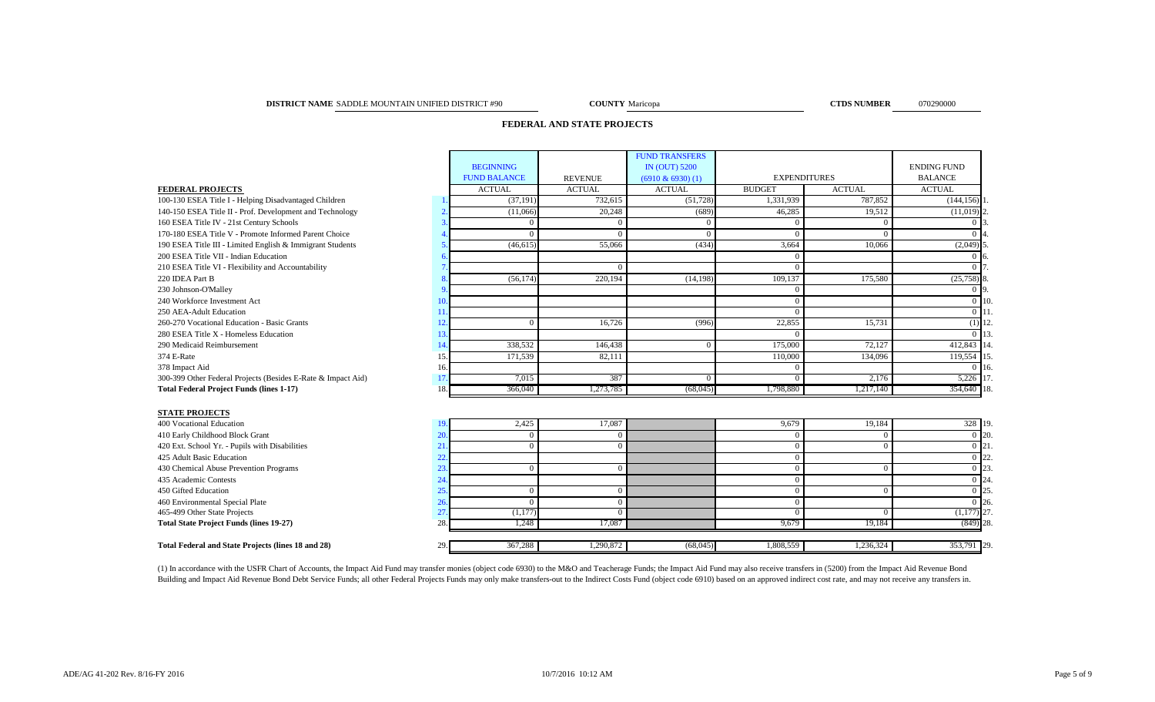### **DISTRICT NAME COUNTY CTDS NUMBER** 070290000 SADDLE MOUNTAIN UNIFIED DISTRICT #90

**COUNTY** Maricopa

# **FEDERAL AND STATE PROJECTS**

|                                                              |     |                     |                | <b>FUND TRANSFERS</b> |                     |               |                    |  |
|--------------------------------------------------------------|-----|---------------------|----------------|-----------------------|---------------------|---------------|--------------------|--|
|                                                              |     | <b>BEGINNING</b>    |                | <b>IN (OUT) 5200</b>  |                     |               | <b>ENDING FUND</b> |  |
|                                                              |     | <b>FUND BALANCE</b> | <b>REVENUE</b> | $(6910 \& 6930)$ (1)  | <b>EXPENDITURES</b> |               | <b>BALANCE</b>     |  |
| <b>FEDERAL PROJECTS</b>                                      |     | <b>ACTUAL</b>       | <b>ACTUAL</b>  | <b>ACTUAL</b>         | <b>BUDGET</b>       | <b>ACTUAL</b> | <b>ACTUAL</b>      |  |
| 100-130 ESEA Title I - Helping Disadvantaged Children        |     | (37, 191)           | 732,615        | (51, 728)             | 1,331,939           | 787,852       | (144, 156)         |  |
| 140-150 ESEA Title II - Prof. Development and Technology     |     | (11,066)            | 20,248         | (689)                 | 46,285              | 19,512        | (11,019)           |  |
| 160 ESEA Title IV - 21st Century Schools                     |     | $\Omega$            | $\mathbf{0}$   | $\overline{0}$        | $\Omega$            | $\Omega$      |                    |  |
| 170-180 ESEA Title V - Promote Informed Parent Choice        |     | $\Omega$            | $\Omega$       | $\Omega$              | $\Omega$            | $\Omega$      |                    |  |
| 190 ESEA Title III - Limited English & Immigrant Students    |     | (46, 615)           | 55,066         | (434)                 | 3,664               | 10.066        | (2,049)            |  |
| 200 ESEA Title VII - Indian Education                        |     |                     |                |                       | $\Omega$            |               |                    |  |
| 210 ESEA Title VI - Flexibility and Accountability           |     |                     | $\Omega$       |                       | $\Omega$            |               |                    |  |
| 220 IDEA Part B                                              |     | (56, 174)           | 220,194        | (14, 198)             | 109,137             | 175,580       | (25,758)           |  |
| 230 Johnson-O'Malley                                         |     |                     |                |                       | $\Omega$            |               | 0.19               |  |
| 240 Workforce Investment Act                                 | 10  |                     |                |                       | $\Omega$            |               | $\Omega$           |  |
| 250 AEA-Adult Education                                      |     |                     |                |                       | $\Omega$            |               | $0$   11           |  |
| 260-270 Vocational Education - Basic Grants                  | 12  | $\Omega$            | 16,726         | (996)                 | 22,855              | 15,731        | $(1)$ 12           |  |
| 280 ESEA Title X - Homeless Education                        | 13  |                     |                |                       | $\Omega$            |               | $\Omega$           |  |
| 290 Medicaid Reimbursement                                   | 14  | 338,532             | 146,438        | $\Omega$              | 175,000             | 72,127        | 412,843            |  |
| 374 E-Rate                                                   | 15  | 171,539             | 82,111         |                       | 110,000             | 134,096       | 119,554            |  |
| 378 Impact Aid                                               | 16  |                     |                |                       | $\Omega$            |               | $\Omega$           |  |
| 300-399 Other Federal Projects (Besides E-Rate & Impact Aid) | 17  | 7,015               | 387            | $\Omega$              | $\Omega$            | 2.176         | 5,226              |  |
| <b>Total Federal Project Funds (lines 1-17)</b>              | 18. | 366,040             | 1,273,785      | (68,045)              | 1,798,880           | 1,217,140     | 354,640 1          |  |
|                                                              |     |                     |                |                       |                     |               |                    |  |
| <b>STATE PROJECTS</b>                                        |     |                     |                |                       |                     |               |                    |  |
| 400 Vocational Education                                     | 19. | 2,425               | 17,087         |                       | 9,679               | 19,184        | 328 19.            |  |
| 410 Early Childhood Block Grant                              | 20  | $\Omega$            | $\Omega$       |                       | $\Omega$            | 0             | $0\,120.$          |  |
| 420 Ext. School Yr. - Pupils with Disabilities               | 21  | $\Omega$            | $\Omega$       |                       | $\Omega$            | $\Omega$      | $0 \vert 21$       |  |
| 425 Adult Basic Education                                    | 22  |                     |                |                       | $\Omega$            |               | $0\vert 22$        |  |
| 430 Chemical Abuse Prevention Programs                       | 23  | $\mathbf{0}$        | $\overline{0}$ |                       | $\Omega$            | $\Omega$      | 0 23               |  |
| 435 Academic Contests                                        | 24  |                     |                |                       | $\Omega$            |               | $0 \; 24$          |  |
| 450 Gifted Education                                         | 25  | $\Omega$            | $\Omega$       |                       | $\Omega$            | $\Omega$      | 0 25               |  |
| 460 Environmental Special Plate                              | 26  | $\Omega$            | $\Omega$       |                       | $\Omega$            |               | $0\,126$           |  |
| 465-499 Other State Projects                                 | 27  | (1,177)             | $\Omega$       |                       | $\Omega$            | $\Omega$      | $(1,177)$ 27.      |  |

# **Total Federal and State Projects (lines 18 and 28)** 29. **29. 29. 29. 20. 29. 20. 20. 20. 20. 20. 20. 367,288 1,290,872 1,308,559 1,308,559 1,236,324 353,791 29.**

(1) In accordance with the USFR Chart of Accounts, the Impact Aid Fund may transfer monies (object code 6930) to the M&O and Teacherage Funds; the Impact Aid Fund may also receive transfers in (5200) from the Impact Aid Re Building and Impact Aid Revenue Bond Debt Service Funds; all other Federal Projects Funds may only make transfers-out to the Indirect Costs Fund (object code 6910) based on an approved indirect cost rate, and may not recei

**Total State Project Funds (lines 19-27)** 28. 28. 2012 28. 2012 28. 2023 28. 2023 28. 2023 28. 2023 28. 2023 28. 2023 28. 2023 28. 2023 28. 2023 28. 2023 28. 2023 28. 2023 28. 2023 28. 2023 28. 2023 28. 2023 28. 2023 28. 2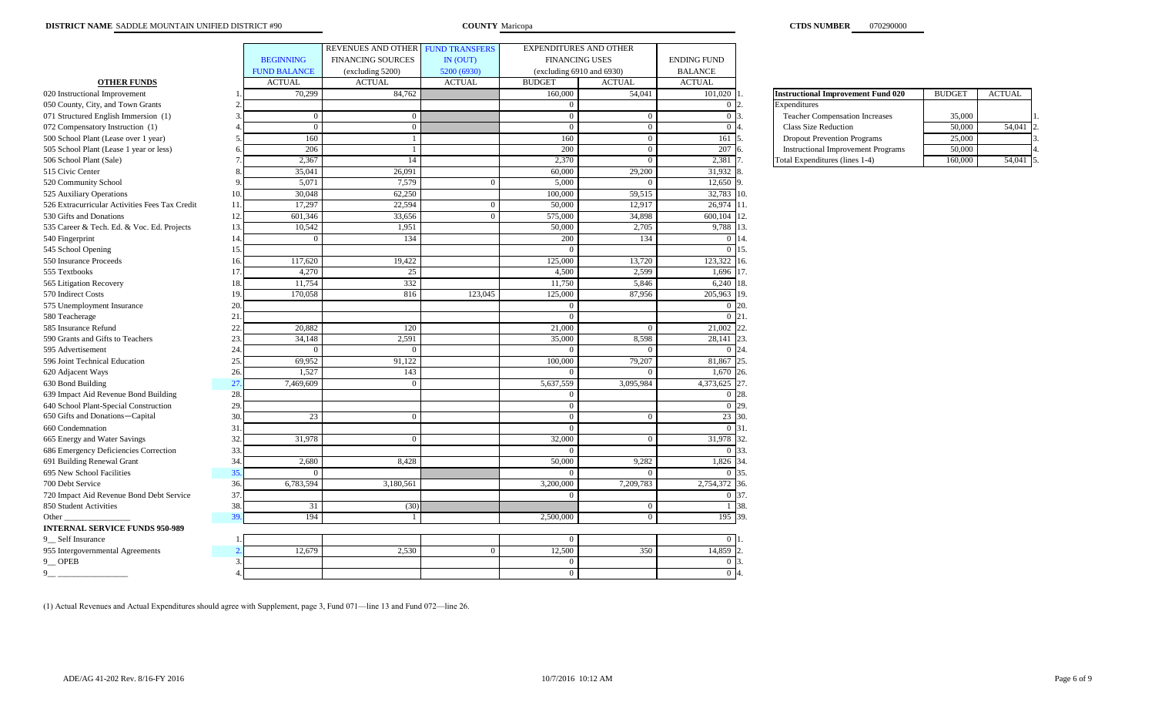|                                                |                     | REVENUES AND OTHER FUND TRANSFERS |                | <b>EXPENDITURES AND OTHER</b>  |                |                    |                                           |               |        |
|------------------------------------------------|---------------------|-----------------------------------|----------------|--------------------------------|----------------|--------------------|-------------------------------------------|---------------|--------|
|                                                | <b>BEGINNING</b>    | <b>FINANCING SOURCES</b>          | IN (OUT)       | <b>FINANCING USES</b>          |                | <b>ENDING FUND</b> |                                           |               |        |
|                                                | <b>FUND BALANCE</b> | (excluding 5200)                  | 5200 (6930)    | (excluding $6910$ and $6930$ ) |                | <b>BALANCE</b>     |                                           |               |        |
| <b>OTHER FUNDS</b>                             | <b>ACTUAL</b>       | <b>ACTUAL</b>                     | <b>ACTUAL</b>  | <b>BUDGET</b>                  | <b>ACTUAL</b>  | <b>ACTUAL</b>      |                                           |               |        |
| 020 Instructional Improvement                  | 70,299              | 84.762                            |                | 160,000                        | 54,041         | 101,020            | <b>Instructional Improvement Fund 020</b> | <b>BUDGET</b> | ACTUAL |
| 050 County, City, and Town Grants              |                     |                                   |                | $\Omega$                       |                | $\overline{0}$     | ixpenditures                              |               |        |
| 071 Structured English Immersion (1)           | 3                   | $\overline{0}$<br>$\Omega$        |                | $\Omega$                       | $\mathbf{0}$   | $\overline{0}$     | <b>Teacher Compensation Increases</b>     | 35,000        |        |
| 072 Compensatory Instruction (1)               |                     | $\overline{0}$<br>$\bf{0}$        |                | $\Omega$                       | $\Omega$       | $\overline{0}$     | <b>Class Size Reduction</b>               | 50,000        | 54,041 |
| 500 School Plant (Lease over 1 year)           | 160<br>5            |                                   |                | 160                            | $\overline{0}$ | 161                | <b>Dropout Prevention Programs</b>        | 25,000        |        |
| 505 School Plant (Lease 1 year or less)        | 206                 |                                   |                | 200                            | $\overline{0}$ | 207                | <b>Instructional Improvement Programs</b> | 50,000        |        |
| 506 School Plant (Sale)                        | 2,367               | 14                                |                | 2,370                          | $\Omega$       | 2,381              | Total Expenditures (lines 1-4)            | 160,000       | 54,041 |
| 515 Civic Center                               | 35,041              | 26,091                            |                | 60,000                         | 29,200         | 31,932             |                                           |               |        |
| 520 Community School                           | 5,071<br>9          | 7,579                             | $\bf{0}$       | 5,000                          | $\mathbf{0}$   | 12,650             |                                           |               |        |
| 525 Auxiliary Operations                       | 30,048<br>10        | 62,250                            |                | 100,000                        | 59,515         | 32,783 10.         |                                           |               |        |
| 526 Extracurricular Activities Fees Tax Credit | 17,297<br>11        | 22,594                            | $\overline{0}$ | 50,000                         | 12,917         | 26,974 11.         |                                           |               |        |
| 530 Gifts and Donations                        | 12<br>601,346       | 33,656                            | $\overline{0}$ | 575,000                        | 34,898         | 600,104 12.        |                                           |               |        |
| 535 Career & Tech. Ed. & Voc. Ed. Projects     | 10,542<br>13        | 1,951                             |                | 50,000                         | 2,705          | 9,788              | 13.                                       |               |        |
| 540 Fingerprint                                | 14                  | 134<br>$\Omega$                   |                | 200                            | 134            | $0\,14.$           |                                           |               |        |
| 545 School Opening                             | 15                  |                                   |                | $\Omega$                       |                | $\Omega$           | 15.                                       |               |        |
| 550 Insurance Proceeds                         | 117,620<br>16       | 19,422                            |                | 125,000                        | 13,720         | 123,322 16.        |                                           |               |        |
| 555 Textbooks                                  | 4,270<br>17         | 25                                |                | 4,500                          | 2,599          | 1,696 17.          |                                           |               |        |
| 565 Litigation Recovery                        | 18<br>11,754        | 332                               |                | 11,750                         | 5,846          | 6,240              | 18.                                       |               |        |
| 570 Indirect Costs                             | 19<br>170,058       | 816                               | 123,045        | 125,000                        | 87,956         | 205,963 19.        |                                           |               |        |
| 575 Unemployment Insurance                     | 20                  |                                   |                | $\Omega$                       |                | $0\,120.$          |                                           |               |        |
| 580 Teacherage                                 | 21                  |                                   |                | $\Omega$                       |                | $0\,21.$           |                                           |               |        |
| 585 Insurance Refund                           | 22<br>20,882        | 120                               |                | 21,000                         | $\Omega$       | 21,002             | 22.                                       |               |        |
| 590 Grants and Gifts to Teachers               | 23<br>34,148        | 2,591                             |                | 35,000                         | 8,598          | 28,141 23.         |                                           |               |        |
| 595 Advertisement                              | 24                  | $\sqrt{ }$                        |                |                                |                |                    |                                           |               |        |
| 596 Joint Technical Education                  | 25<br>69,952        | 91,122                            |                | 100,000                        | 79,207         | 81,867             | 25.                                       |               |        |
| 620 Adjacent Ways                              | 1,527<br>26         | 143                               |                | $\Omega$                       | $\Omega$       | 1,670 26.          |                                           |               |        |
| 630 Bond Building                              | 27<br>7,469,609     | $\Omega$                          |                | 5,637,559                      | 3,095,984      | 4,373,625          | 27.                                       |               |        |
| 639 Impact Aid Revenue Bond Building           | 28                  |                                   |                | $\Omega$                       |                | $0\,128.$          |                                           |               |        |
| 640 School Plant-Special Construction          | 29                  |                                   |                | $\Omega$                       |                | $0\,129.$          |                                           |               |        |
| 650 Gifts and Donations-Capital                | 30<br>23            | $\overline{0}$                    |                | $\overline{0}$                 | $\overline{0}$ | 23 30.             |                                           |               |        |
| 660 Condemnation                               | 31                  |                                   |                | $\Omega$                       |                | 0 31.              |                                           |               |        |
| 665 Energy and Water Savings                   | 32<br>31,978        | $\Omega$                          |                | 32,000                         | $\Omega$       | 31,978             | 32.                                       |               |        |
| 686 Emergency Deficiencies Correction          | 33                  |                                   |                |                                |                |                    | 33.                                       |               |        |
| 691 Building Renewal Grant                     | 34<br>2,680         | 8,428                             |                | 50,000                         | 9,282          | 1,826              | 34.                                       |               |        |
| 695 New School Facilities                      | 35<br>$^{\circ}$    |                                   |                | - 0                            | $\Omega$       | $\Omega$           | 35.                                       |               |        |
| 700 Debt Service                               | 36<br>6,783,594     | 3,180,561                         |                | 3,200,000                      | 7,209,783      | 2,754,372          | 36.                                       |               |        |
| 720 Impact Aid Revenue Bond Debt Service       | 37                  |                                   |                | $\eta$                         |                | 0 37.              |                                           |               |        |
| 850 Student Activities                         | 38.<br>31           | (30)                              |                |                                | $\mathbf{0}$   | 1 38.              |                                           |               |        |
| Other_                                         | 39<br>194           |                                   |                | 2,500,000                      | $\overline{0}$ | 195 39.            |                                           |               |        |
| <b>INTERNAL SERVICE FUNDS 950-989</b>          |                     |                                   |                |                                |                |                    |                                           |               |        |
| 9_Self Insurance                               |                     |                                   |                | $\Omega$                       |                | $\Omega$           |                                           |               |        |
| 955 Intergovernmental Agreements               | 12,679              | 2,530                             |                | 12,500                         | 350            | 14,859             |                                           |               |        |
| 9 <sup>O</sup> PEB                             | 3                   |                                   |                | $\Omega$                       |                | $\overline{0}$     |                                           |               |        |
| $9-$                                           |                     |                                   |                | $\overline{0}$                 |                | $\overline{0}$     |                                           |               |        |
|                                                |                     |                                   |                |                                |                |                    |                                           |               |        |

| <b>Instructional Improvement Fund 020</b> | <b>BUDGET</b> | <b>ACTUAL</b> |               |
|-------------------------------------------|---------------|---------------|---------------|
| Expenditures                              |               |               |               |
| <b>Teacher Compensation Increases</b>     | 35,000        |               |               |
| <b>Class Size Reduction</b>               | 50,000        | 54,041        | $\mathcal{L}$ |
| <b>Dropout Prevention Programs</b>        | 25,000        |               |               |
| <b>Instructional Improvement Programs</b> | 50,000        |               |               |
| Total Expenditures (lines 1-4)            | 160,000       | 54.04         |               |

(1) Actual Revenues and Actual Expenditures should agree with Supplement, page 3, Fund 071—line 13 and Fund 072—line 26.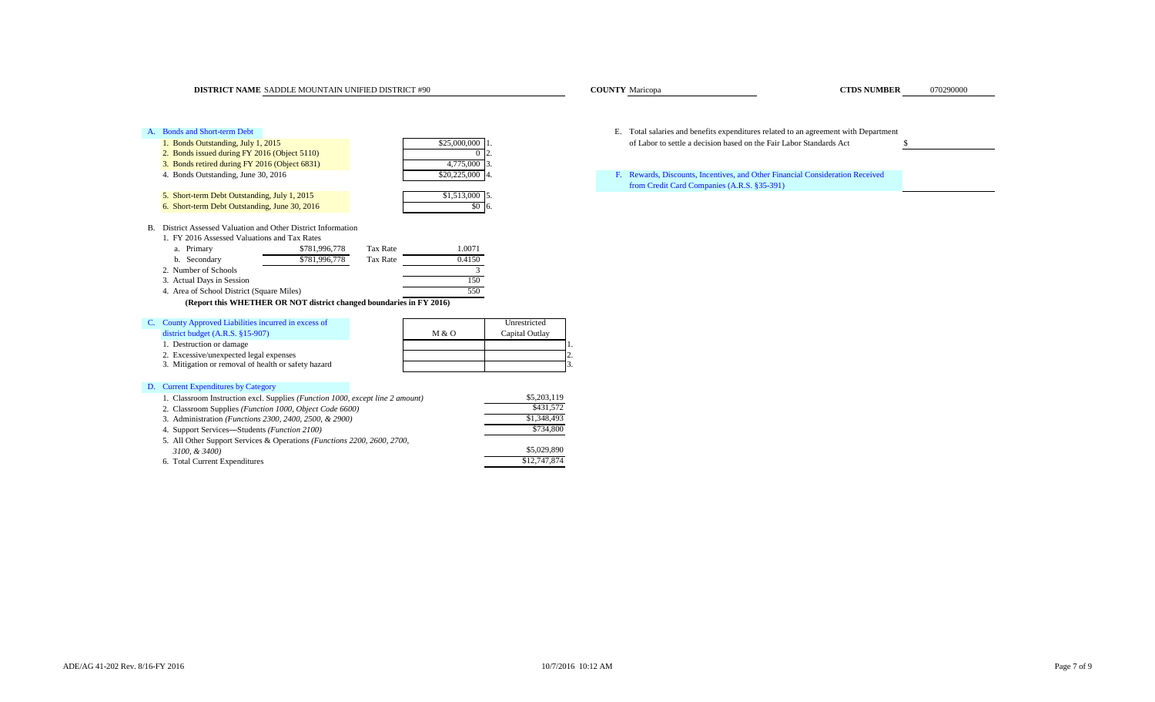**COUNTY** Maricopa

# A. Bonds and Short-term Debt E. Total salaries and benefits expenditures related to an agreement with Department 1. Bonds Outstanding, July 1, 2015 **825,000 1.** S25,000,000 1. of Labor to settle a decision based on the Fair Labor Standards Act \$ 2. Bonds issued during FY 2016 (Object 5110) 3. Bonds retired during FY 2016 (Object 6831) 4,775,000 4. Bonds Outstanding, June 30, 2016 \$20,225,000 5. Short-term Debt Outstanding, July 1, 2015 **\$1,513,000** \$1,513,000 \$1,513,000 \$1.513,000 \$1.513,000 \$1.513,000 \$1.513,000 \$1.513,000 \$1.513,000 \$1.513,000 \$1.513,000 \$1.513,000 \$1.513,000 \$1.513,000 \$1.513,000 \$1.513,000 6. Short-term Debt Outstanding, June 30, 2016 **1998 1998 1998 1998 1999 1999 1999 1999 1999 1999 1999 1999 1999 1999 1999 1999 1999 1999 1999 1999 1999 1999 1999 1999 1999** B. District Assessed Valuation and Other District Information 1. FY 2016 Assessed Valuations and Tax Rates a. Primary \$781,996,778 Tax Rate 1.0071 b. Secondary **\$781,996,778** Tax Rate 0.4150 2. Number of Schools 3<br>3. Actual Days in Session 150 3. Actual Days in Session 4. Area of School District (Square Miles) 550  **(Report this WHETHER OR NOT district changed boundaries in FY 2016)** C. County Approved Liabilities incurred in excess of Unrestricted district budget (A.R.S. §15-907) M & O Capital Outlay 1. Destruction or damage 2. Excessive/unexpected legal expenses 2. 3. Mitigation or removal of health or safety hazard

# D. Current Expenditures by Category

| 1. Classroom Instruction excl. Supplies (Function 1000, except line 2 amount)    | \$5,203,119  |
|----------------------------------------------------------------------------------|--------------|
| 2. Classroom Supplies (Function 1000, Object Code 6600)                          | \$431,572    |
| 3. Administration ( <i>Functions 2300, 2400, 2500, &amp; 2900</i> )              | \$1,348,493  |
| 4. Support Services—Students <i>(Function 2100)</i>                              | \$734,800    |
| 5. All Other Support Services & Operations ( <i>Functions 2200, 2600, 2700</i> , |              |
| 3100, & 3400)                                                                    | \$5,029,890  |
| 6. Total Current Expenditures                                                    | \$12,747,874 |

Rewards, Discounts, Incentives, and Other Financial Consideration Received from Credit Card Companies (A.R.S. §35-391)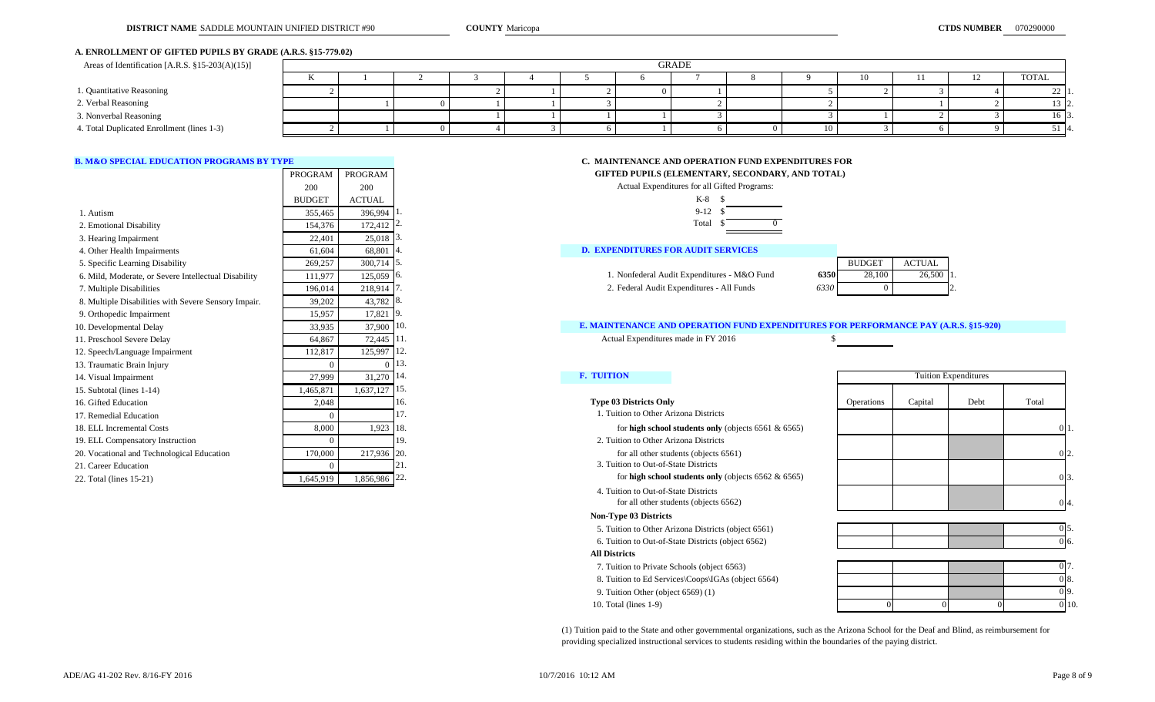# **A. ENROLLMENT OF GIFTED PUPILS BY GRADE (A.R.S. §15-779.02)**

| Areas of Identification [A.R.S. $\S 15-203(A)(15)$ ] | GRADE |  |  |  |  |  |  |  |    |     |  |             |
|------------------------------------------------------|-------|--|--|--|--|--|--|--|----|-----|--|-------------|
|                                                      |       |  |  |  |  |  |  |  |    | 10- |  | TOTAL       |
| 1. Quantitative Reasoning                            |       |  |  |  |  |  |  |  |    |     |  | $\angle$ 1' |
| 2. Verbal Reasoning                                  |       |  |  |  |  |  |  |  |    |     |  | 13   2.     |
| 3. Nonverbal Reasoning                               |       |  |  |  |  |  |  |  |    |     |  | 16 I3       |
| 4. Total Duplicated Enrollment (lines 1-3)           |       |  |  |  |  |  |  |  | 10 |     |  | 51 14       |

|                                                      | PROGRAM       | PROGRAM                |      |                                             | GIFTED PUPILS (ELEMENTARY, SECONDARY, AND TOTAL)                                    |               |               |                             |       |     |
|------------------------------------------------------|---------------|------------------------|------|---------------------------------------------|-------------------------------------------------------------------------------------|---------------|---------------|-----------------------------|-------|-----|
|                                                      | 200           | 200                    |      |                                             | Actual Expenditures for all Gifted Programs:                                        |               |               |                             |       |     |
|                                                      | <b>BUDGET</b> | <b>ACTUAL</b>          |      |                                             | $K-8$ \$                                                                            |               |               |                             |       |     |
| 1. Autism                                            | 355,465       | 396,994                |      |                                             | $9-12$ \$                                                                           |               |               |                             |       |     |
| 2. Emotional Disability                              | 154,376       | $172,412$ <sup>2</sup> |      |                                             | Total                                                                               |               |               |                             |       |     |
| 3. Hearing Impairment                                | 22,401        | 25,018                 |      |                                             |                                                                                     |               |               |                             |       |     |
| 4. Other Health Impairments                          | 61,604        | 68,801                 |      | <b>D. EXPENDITURES FOR AUDIT SERVICES</b>   |                                                                                     |               |               |                             |       |     |
| 5. Specific Learning Disability                      | 269,257       | $300,714$ 5.           |      |                                             |                                                                                     | <b>BUDGET</b> | <b>ACTUAL</b> |                             |       |     |
| 6. Mild, Moderate, or Severe Intellectual Disability | 111,977       | 125,059                | -16. | 1. Nonfederal Audit Expenditures - M&O Fund | 6350<br>28,100                                                                      | 26,500 1      |               |                             |       |     |
| 7. Multiple Disabilities                             | 196.014       | 218,914 7              |      | 2. Federal Audit Expenditures - All Funds   | 6330                                                                                |               |               |                             |       |     |
| 8. Multiple Disabilities with Severe Sensory Impair. | 39,202        | 43,782 8.              |      |                                             |                                                                                     |               |               |                             |       |     |
| 9. Orthopedic Impairment                             | 15,957        | $17,821$ 9.            |      |                                             |                                                                                     |               |               |                             |       |     |
| 10. Developmental Delay                              | 33,935        | 37,900                 | 10.  |                                             | E. MAINTENANCE AND OPERATION FUND EXPENDITURES FOR PERFORMANCE PAY (A.R.S. §15-920) |               |               |                             |       |     |
| 11. Preschool Severe Delay                           | 64,867        | 72,445 11.             |      | Actual Expenditures made in FY 2016         |                                                                                     |               |               |                             |       |     |
| 12. Speech/Language Impairment                       | 112,817       | 125,997                | 112. |                                             |                                                                                     |               |               |                             |       |     |
| 13. Traumatic Brain Injury                           |               |                        | 13.  |                                             |                                                                                     |               |               |                             |       |     |
| 14. Visual Impairment                                | 27,999        | $31,270$   14.         |      | <b>F. TUITION</b>                           |                                                                                     |               |               | <b>Tuition Expenditures</b> |       |     |
| 15. Subtotal (lines 1-14)                            | 1,465,871     | 1,637,127              | 115. |                                             |                                                                                     |               |               |                             |       |     |
| 16. Gifted Education                                 | 2,048         |                        | 16.  | <b>Type 03 Districts Only</b>               |                                                                                     | Operations    | Capital       | Debt                        | Total |     |
| 17. Remedial Education                               |               |                        |      | 1. Tuition to Other Arizona Districts       |                                                                                     |               |               |                             |       |     |
| 18. ELL Incremental Costs                            | 8,000         | 1,923   18             |      |                                             | for high school students only (objects $6561 & 6565$ )                              |               |               |                             |       |     |
| 19. ELL Compensatory Instruction                     |               |                        | 19.  | 2. Tuition to Other Arizona Districts       |                                                                                     |               |               |                             |       |     |
| 20. Vocational and Technological Education           | 170,000       | 217,936 20.            |      |                                             | for all other students (objects 6561)                                               |               |               |                             |       |     |
| 21. Career Education                                 |               |                        |      | 3. Tuition to Out-of-State Districts        |                                                                                     |               |               |                             |       |     |
| 22. Total (lines 15-21)                              | 1,645,919     | 1,856,986 22.          |      |                                             | for high school students only (objects $6562 \& 6565$ )                             |               |               |                             |       | 0I: |

# **B. M&O SPECIAL EDUCATION PROGRAMS BY TYPE C. MAINTENANCE AND OPERATION FUND EXPENDITURES FOR**

**EIFTED PUPILS (ELEMENTARY, SECONDARY, AND TOTAL) GIFTED PUPILS (ELEMENTARY, SECONDARY, AND TOTAL)** 

|          | Actual Expenditures for all Gifted Programs:        |   |  |
|----------|-----------------------------------------------------|---|--|
| ۹L       | $K-8$                                               | S |  |
| ,994     | $9 - 12$<br>1.                                      |   |  |
| ,412     | Total<br>2.                                         |   |  |
| ,018     | 3.                                                  |   |  |
| ,801     | <b>D. EXPENDITURES FOR AUDIT SERVICES</b><br>4.     |   |  |
| ,714     | 15.                                                 |   |  |
| ,059     | 1. Nonfederal Audit Expenditures - M&O Fund<br>6.   |   |  |
| ,914     | 2. Federal Audit Expenditures - All Funds<br>7.     |   |  |
| ,782     | 8.                                                  |   |  |
| ,821     | 9.                                                  |   |  |
| ,900     | <b>E. MAINTENANCE AND OPERATION FUND EXP</b><br>10. |   |  |
| ,445     | Actual Expenditures made in FY 2016<br>11.          |   |  |
| ,997     | 12.                                                 |   |  |
| $\Omega$ | 13.                                                 |   |  |

# 10. E. MAINTENANCE AND OPERATION FUND EXPENDITURES FOR PERFORMANCE PAY (A.R.S. §15-920)

 4. Tuition to Out-of-State Districts for all other students (objects 6562)

### **Non-Type 03 Districts**

- 5. Tuition to Other Arizona Districts (object 6561)
- 6. Tuition to Out-of-State Districts (object 6562)
- **All Districts**
- 7. Tuition to Private Schools (object 6563)
- 8. Tuition to Ed Services\Coops\IGAs (object 6564)
- 9. Tuition Other (object 6569) (1)
- 10. Total (lines 1-9)

|            |         | <b>Tuition Expenditures</b> |       |    |
|------------|---------|-----------------------------|-------|----|
| Operations | Capital | Debt                        | Total |    |
|            |         |                             | €     | 1. |
|            |         |                             | 0     | 2. |
|            |         |                             | 0     | 3. |
|            |         |                             |       | 4. |



| 0 <sub>17</sub><br>$\overline{\phantom{a}}$ |    |  |
|---------------------------------------------|----|--|
| 0 8.                                        |    |  |
| 09.                                         |    |  |
| $\overline{0}$ 10                           | J. |  |

(1) Tuition paid to the State and other governmental organizations, such as the Arizona School for the Deaf and Blind, as reimbursement for providing specialized instructional services to students residing within the boundaries of the paying district.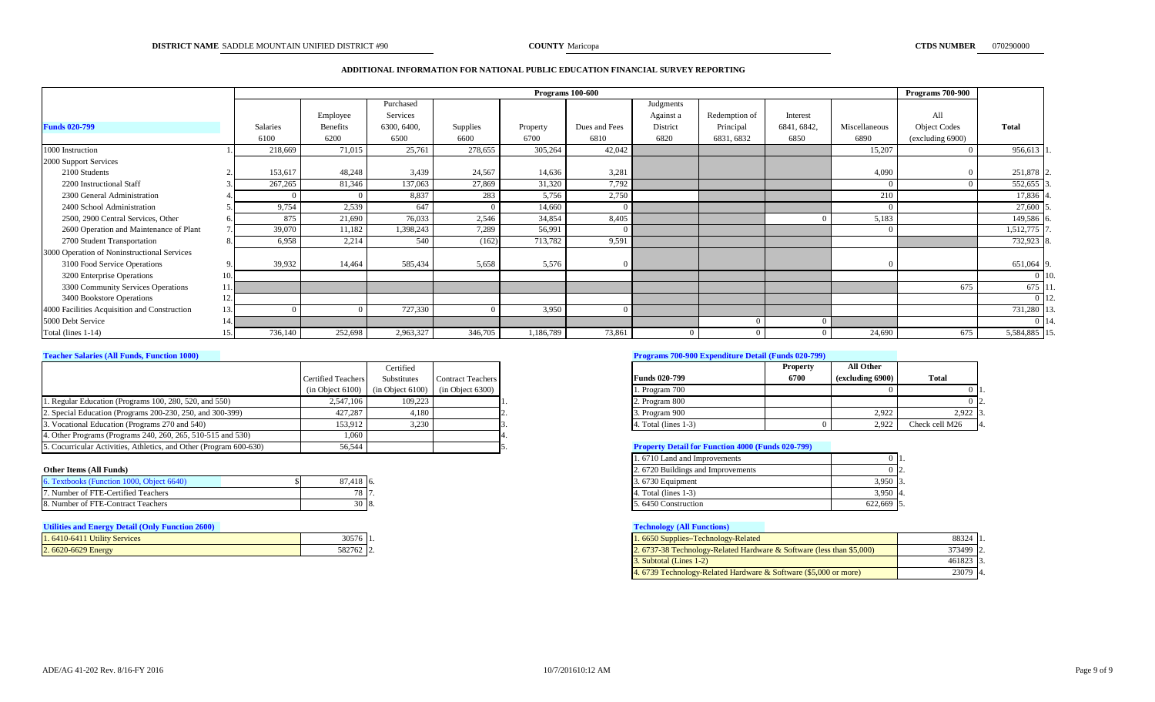# **ADDITIONAL INFORMATION FOR NATIONAL PUBLIC EDUCATION FINANCIAL SURVEY REPORTING**

|                                              |     |          | <b>Programs 100-600</b> |             |          |           |               |           |               |             |               | <b>Programs 700-900</b> |               |         |
|----------------------------------------------|-----|----------|-------------------------|-------------|----------|-----------|---------------|-----------|---------------|-------------|---------------|-------------------------|---------------|---------|
|                                              |     |          |                         | Purchased   |          |           |               | Judgments |               |             |               |                         |               |         |
|                                              |     |          | Employee                | Services    |          |           |               | Against a | Redemption of | Interest    |               | All                     |               |         |
| <b>Funds 020-799</b>                         |     | Salaries | Benefits                | 6300, 6400. | Supplies | Property  | Dues and Fees | District  | Principal     | 6841, 6842, | Miscellaneous | <b>Object Codes</b>     | <b>Total</b>  |         |
|                                              |     | 6100     | 6200                    | 6500        | 6600     | 6700      | 6810          | 6820      | 6831, 6832    | 6850        | 6890          | (excluding 6900)        |               |         |
| 1000 Instruction                             |     | 218,669  | 71,015                  | 25,761      | 278,655  | 305,264   | 42,042        |           |               |             | 15,207        |                         | 956,613       |         |
| 2000 Support Services                        |     |          |                         |             |          |           |               |           |               |             |               |                         |               |         |
| 2100 Students                                |     | 153,617  | 48,248                  | 3,439       | 24,567   | 14,636    | 3,281         |           |               |             | 4,090         |                         | 251,878 2     |         |
| 2200 Instructional Staff                     |     | 267,265  | 81,346                  | 137,063     | 27,869   | 31,320    | 7,792         |           |               |             | $\Omega$      | $\Omega$                | 552,655       |         |
| 2300 General Administration                  |     |          |                         | 8,837       | 283      | 5,756     | 2,750         |           |               |             | 210           |                         | 17,836 4      |         |
| 2400 School Administration                   |     | 9,754    | 2,539                   | 647         |          | 14,660    |               |           |               |             |               |                         | 27,600 5      |         |
| 2500, 2900 Central Services, Other           |     | 875      | 21,690                  | 76,033      | 2,546    | 34,854    | 8,405         |           |               |             | 5,183         |                         | 149,586 6     |         |
| 2600 Operation and Maintenance of Plant      |     | 39,070   | 11,182                  | ,398,243    | 7,289    | 56,991    |               |           |               |             |               |                         | 1,512,775     |         |
| 2700 Student Transportation                  |     | 6,958    | 2,214                   | 540         | (162)    | 713,782   | 9,591         |           |               |             |               |                         | 732,923 8     |         |
| 3000 Operation of Noninstructional Services  |     |          |                         |             |          |           |               |           |               |             |               |                         |               |         |
| 3100 Food Service Operations                 |     | 39,932   | 14,464                  | 585,434     | 5,658    | 5,576     |               |           |               |             |               |                         | 651,064 9     |         |
| 3200 Enterprise Operations                   | 10. |          |                         |             |          |           |               |           |               |             |               |                         |               | $0$ 10. |
| 3300 Community Services Operations           |     |          |                         |             |          |           |               |           |               |             |               | 675                     | 675 11        |         |
| 3400 Bookstore Operations                    | 12  |          |                         |             |          |           |               |           |               |             |               |                         |               | $0\,12$ |
| 4000 Facilities Acquisition and Construction | 13. |          |                         | 727,330     |          | 3,950     |               |           |               |             |               |                         | 731,280 1     |         |
| 5000 Debt Service                            |     |          |                         |             |          |           |               |           |               |             |               |                         | $0 \mid 14$ . |         |
| Total (lines 1-14)                           |     | 736,140  | 252,698                 | 2,963,327   | 346,705  | 1,186,789 | 73,861        |           |               |             | 24,690        | 675                     | 5,584,885 15. |         |

|                                                                    |                           | Certified                                                |                          |                                                          | <b>Property</b> | <b>All Other</b> |                |
|--------------------------------------------------------------------|---------------------------|----------------------------------------------------------|--------------------------|----------------------------------------------------------|-----------------|------------------|----------------|
|                                                                    | <b>Certified Teachers</b> | Substitutes                                              | <b>Contract Teachers</b> | <b>Funds 020-799</b>                                     | 6700            | (excluding 6900) | <b>Total</b>   |
|                                                                    |                           | $(in Object 6100)$ $(in Object 6100)$ $(in Object 6300)$ |                          | 1. Program 700                                           |                 |                  |                |
| 1. Regular Education (Programs 100, 280, 520, and 550)             | 2.547.106                 | 109.223                                                  |                          | 2. Program 800                                           |                 |                  |                |
| 2. Special Education (Programs 200-230, 250, and 300-399)          | 427.287                   | 4.180                                                    |                          | 3. Program 900                                           |                 | 2.922            | 2.922          |
| 3. Vocational Education (Programs 270 and 540)                     | 153.912                   | 3.230                                                    |                          | 4. Total (lines 1-3)                                     |                 | 2.92             | Check cell M26 |
| 4. Other Programs (Programs 240, 260, 265, 510-515 and 530)        | 1.060                     |                                                          |                          |                                                          |                 |                  |                |
| 5. Cocurricular Activities, Athletics, and Other (Program 600-630) | 56,544                    |                                                          |                          | <b>Property Detail for Function 4000 (Funds 020-799)</b> |                 |                  |                |

# **Other Items (All Funds)**

| Textbooks (Function 1000, Object 6640) | 87,418 6.          | 672'<br>$\sqrt{2}$<br>$3.6/30$ Equipment |         |
|----------------------------------------|--------------------|------------------------------------------|---------|
| 7. Number of FTE-Certified Teachers    | $\circ$ $\prime$ . | 4. Total (lines 1                        |         |
| 8. Number of FTE-Contract Teachers     | -18.               | 5.6450 Construction                      | 022,669 |

# **Utilities and Energy Detail (Only Function 2600) Technology (All Functions)**

| 1.6410-6411 Utility Services | 30576  |  |
|------------------------------|--------|--|
| 2.6620-6629 Energy           | 582762 |  |

# **Teacher Salaries (All Funds, Function 1000) Programs 700-900 Expenditure Detail (Funds 020-799)**

|                      | <b>Property</b> | All Other        |                       |
|----------------------|-----------------|------------------|-----------------------|
| <b>Funds 020-799</b> | 6700            | (excluding 6900) | Total                 |
| 1. Program 700       |                 |                  |                       |
| 2. Program 800       |                 |                  |                       |
| 3. Program 900       |                 | 2.922            | 2.922<br>13.          |
| 4. Total (lines 1-3) |                 | 2.922            | Check cell M26<br>14. |

# **Froperty Detail for Function 4000 (Funds 020-799)**

| 1.6710 Land and Improvements      |            |  |
|-----------------------------------|------------|--|
| 2.6720 Buildings and Improvements |            |  |
| 3.6730 Equipment                  | $3.950$ 3. |  |
| 4. Total (lines $1-3$ )           | $3,950$ 4. |  |
| 5.6450 Construction               | 622.669    |  |

| $30576$ 1. | 1.6650 Supplies–Technology-Related                                    | 88324 1.  |  |
|------------|-----------------------------------------------------------------------|-----------|--|
| 582762 2.  | 2. 6737-38 Technology-Related Hardware & Software (less than \$5,000) | 373499 2. |  |
|            | 3. Subtotal (Lines 1-2)                                               | 461823 3. |  |
|            | 4. 6739 Technology-Related Hardware & Software (\$5,000 or more)      | 23079 4.  |  |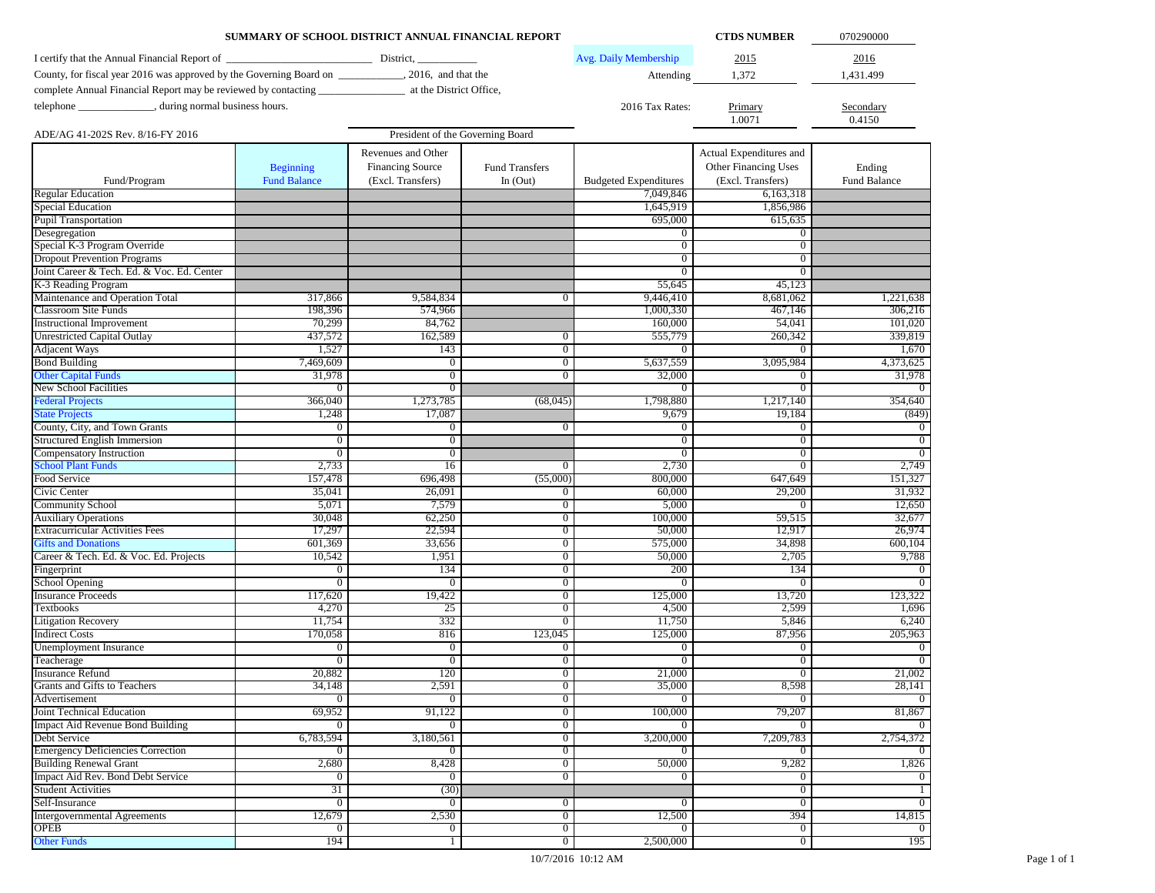|                                                                                                       | SUMMARY OF SCHOOL DISTRICT ANNUAL FINANCIAL REPORT |                         |                                  |                              | <b>CTDS NUMBER</b>       | 070290000            |
|-------------------------------------------------------------------------------------------------------|----------------------------------------------------|-------------------------|----------------------------------|------------------------------|--------------------------|----------------------|
| I certify that the Annual Financial Report of                                                         | District,                                          |                         |                                  | Avg. Daily Membership        | 2015                     | 2016                 |
| County, for fiscal year 2016 was approved by the Governing Board on _____________, 2016, and that the |                                                    |                         |                                  |                              |                          |                      |
|                                                                                                       |                                                    |                         |                                  | Attending                    | 1,372                    | 1,431.499            |
|                                                                                                       |                                                    |                         |                                  |                              |                          |                      |
| telephone ________________, during normal business hours.                                             |                                                    |                         |                                  | 2016 Tax Rates:              | Primary                  | Secondary            |
|                                                                                                       |                                                    |                         |                                  |                              | 1.0071                   | 0.4150               |
| ADE/AG 41-202S Rev. 8/16-FY 2016                                                                      |                                                    |                         | President of the Governing Board |                              |                          |                      |
|                                                                                                       |                                                    | Revenues and Other      |                                  |                              | Actual Expenditures and  |                      |
|                                                                                                       | <b>Beginning</b>                                   | <b>Financing Source</b> | <b>Fund Transfers</b>            |                              | Other Financing Uses     | Ending               |
| Fund/Program                                                                                          | <b>Fund Balance</b>                                | (Excl. Transfers)       | In $(Out)$                       | <b>Budgeted Expenditures</b> | (Excl. Transfers)        | Fund Balance         |
| <b>Regular Education</b>                                                                              |                                                    |                         |                                  | 7,049,846                    | 6.163.318                |                      |
| <b>Special Education</b>                                                                              |                                                    |                         |                                  | 1,645,919                    | 1,856,986                |                      |
| Pupil Transportation                                                                                  |                                                    |                         |                                  | 695,000                      | 615.635                  |                      |
| Desegregation                                                                                         |                                                    |                         |                                  | $\mathbf{0}$                 | $\bf{0}$                 |                      |
| Special K-3 Program Override                                                                          |                                                    |                         |                                  | $\overline{0}$               | $\overline{0}$           |                      |
| <b>Dropout Prevention Programs</b>                                                                    |                                                    |                         |                                  | $\overline{0}$               | $\overline{0}$           |                      |
| Joint Career & Tech. Ed. & Voc. Ed. Center<br>K-3 Reading Program                                     |                                                    |                         |                                  | $\overline{0}$               | $\overline{0}$           |                      |
| Maintenance and Operation Total                                                                       |                                                    |                         | $\mathbf{0}$                     | 55,645<br>9,446,410          | 45,123<br>8,681,062      |                      |
| Classroom Site Funds                                                                                  | 317,866<br>198,396                                 | 9,584,834<br>574,966    |                                  | 1,000,330                    | 467,146                  | 1,221,638<br>306,216 |
| <b>Instructional Improvement</b>                                                                      | 70,299                                             | 84,762                  |                                  | 160,000                      | 54,041                   | 101,020              |
| <b>Unrestricted Capital Outlay</b>                                                                    | 437,572                                            | 162,589                 | $\overline{0}$                   | 555,779                      | 260,342                  | 339,819              |
| <b>Adjacent Ways</b>                                                                                  | 1,527                                              | 143                     | $\overline{0}$                   | $\mathbf{0}$                 | $\overline{0}$           | 1,670                |
| <b>Bond Building</b>                                                                                  | 7,469,609                                          | $\overline{0}$          | $\overline{0}$                   | 5,637,559                    | 3,095,984                | 4,373,625            |
| <b>Other Capital Funds</b>                                                                            | 31,978                                             | $\overline{0}$          | $\overline{0}$                   | 32,000                       | $\overline{0}$           | 31,978               |
| New School Facilities                                                                                 | $\mathbf{0}$                                       | $\overline{0}$          |                                  | $\mathbf{0}$                 | $\mathbf{0}$             |                      |
| <b>Federal Projects</b>                                                                               | 366,040                                            | 1,273,785               | (68,045)                         | 1,798,880                    | 1,217,140                | 354,640              |
| <b>State Projects</b>                                                                                 | 1,248                                              | 17,087                  |                                  | 9,679                        | 19,184                   | (849)                |
| County, City, and Town Grants                                                                         | $\mathbf{0}$                                       | 0                       | $\overline{0}$                   | $\boldsymbol{0}$             | 0                        | $\Omega$             |
| Structured English Immersion                                                                          | 0                                                  | $\overline{0}$          |                                  | $\overline{0}$               | $\overline{0}$           | $\overline{0}$       |
| Compensatory Instruction                                                                              | $\mathbf{0}$                                       | $\mathbf{0}$            |                                  | $\overline{0}$               | $\overline{0}$           | $\overline{0}$       |
| <b>School Plant Funds</b>                                                                             | 2,733                                              | 16                      | $\overline{0}$                   | 2,730                        | $\overline{0}$           | 2,749                |
| Food Service                                                                                          | 157,478                                            | 696,498                 | (55,000)                         | 800,000                      | 647,649                  | 151,327              |
| Civic Center                                                                                          | 35,041                                             | 26,091                  | $\overline{0}$                   | 60,000                       | 29,200                   | 31,932               |
| <b>Community School</b>                                                                               | 5,071                                              | 7,579                   | $\overline{0}$                   | 5,000                        | $\overline{0}$           | 12,650               |
| <b>Auxiliary Operations</b>                                                                           | 30,048                                             | 62,250                  | $\overline{0}$                   | 100,000                      | 59,515                   | 32,677               |
| <b>Extracurricular Activities Fees</b>                                                                | 17,297                                             | 22,594                  | $\overline{0}$                   | 50,000                       | 12,917                   | 26,974               |
| <b>Gifts and Donations</b>                                                                            | 601,369                                            | 33,656                  | $\overline{0}$                   | 575,000                      | 34,898                   | 600,104              |
| Career & Tech. Ed. & Voc. Ed. Projects                                                                | 10,542                                             | 1,951                   | $\overline{0}$                   | 50,000                       | 2,705                    | 9,788                |
| Fingerprint                                                                                           | 0                                                  | 134                     | $\overline{0}$                   | 200                          | 134                      |                      |
| <b>School Opening</b>                                                                                 | $\mathbf{0}$                                       | $\bf{0}$                | $\overline{0}$                   | $\mathbf{0}$                 | $\theta$                 |                      |
| <b>Insurance Proceeds</b>                                                                             | 117,620                                            | 19,422                  | $\overline{0}$                   | 125,000                      | 13,720                   | 123,322              |
| <b>Textbooks</b>                                                                                      | 4,270                                              | 25                      | $\overline{0}$                   | 4,500                        | 2,599                    | 1,696                |
| <b>Litigation Recovery</b>                                                                            | 11,754                                             | 332                     | $\overline{0}$                   | 11,750                       | 5,846                    | 6,240                |
| <b>Indirect Costs</b><br><b>Unemployment Insurance</b>                                                | 170,058                                            | 816<br>$\overline{0}$   | 123,045                          | 125,000                      | 87,956<br>$\overline{0}$ | 205,963              |
| Teacherage                                                                                            | $\mathbf{0}$<br>$\mathbf{0}$                       | $\overline{0}$          | $\mathbf{0}$<br>$\overline{0}$   | $\mathbf{0}$<br>$\mathbf{0}$ | $\overline{0}$           |                      |
| <b>Insurance Refund</b>                                                                               | 20,882                                             | 120                     | $\overline{0}$                   | 21,000                       | $\overline{0}$           | 21,002               |
| 7<br>Grants and Gifts to Teachers                                                                     | 34,148                                             | 2,591                   | v                                | 35,000                       | 8,598                    | 28,141               |
| Advertisement                                                                                         | $\overline{0}$                                     | $\overline{0}$          | $\overline{0}$                   | $\overline{0}$               | $\overline{0}$           | $\overline{0}$       |
| Joint Technical Education                                                                             | 69,952                                             | 91,122                  | $\overline{0}$                   | 100,000                      | 79,207                   | 81,867               |
| Impact Aid Revenue Bond Building                                                                      | $\overline{0}$                                     | $\overline{0}$          | $\overline{0}$                   | $\overline{0}$               | $\overline{0}$           |                      |
| Debt Service                                                                                          | 6,783,594                                          | 3,180,561               | $\overline{0}$                   | 3,200,000                    | 7,209,783                | 2,754,372            |
| <b>Emergency Deficiencies Correction</b>                                                              | $\overline{0}$                                     | $\mathbf{0}$            | $\overline{0}$                   | $\overline{0}$               | $\overline{0}$           |                      |
| <b>Building Renewal Grant</b>                                                                         | 2,680                                              | 8,428                   | $\overline{0}$                   | 50,000                       | 9,282                    | 1,826                |
| Impact Aid Rev. Bond Debt Service                                                                     | $\overline{0}$                                     | $\overline{0}$          | $\overline{0}$                   | $\overline{0}$               | $\overline{0}$           | $\Omega$             |
| <b>Student Activities</b>                                                                             | 31                                                 | (30)                    |                                  |                              | $\overline{0}$           |                      |
| Self-Insurance                                                                                        | $\mathbf{0}$                                       | $\mathbf{0}$            | $\overline{0}$                   | $\overline{0}$               | $\overline{0}$           | $\overline{0}$       |
| <b>Intergovernmental Agreements</b>                                                                   | 12,679                                             | 2,530                   | $\overline{0}$                   | 12,500                       | 394                      | 14,815               |
| OPEB                                                                                                  | $\bf{0}$                                           | $\mathbf{0}$            | $\overline{0}$                   | $\overline{0}$               | $\overline{0}$           | $\overline{0}$       |
| <b>Other Funds</b>                                                                                    | 194                                                | 1                       | $\overline{0}$                   | 2,500,000                    | $\overline{0}$           | 195                  |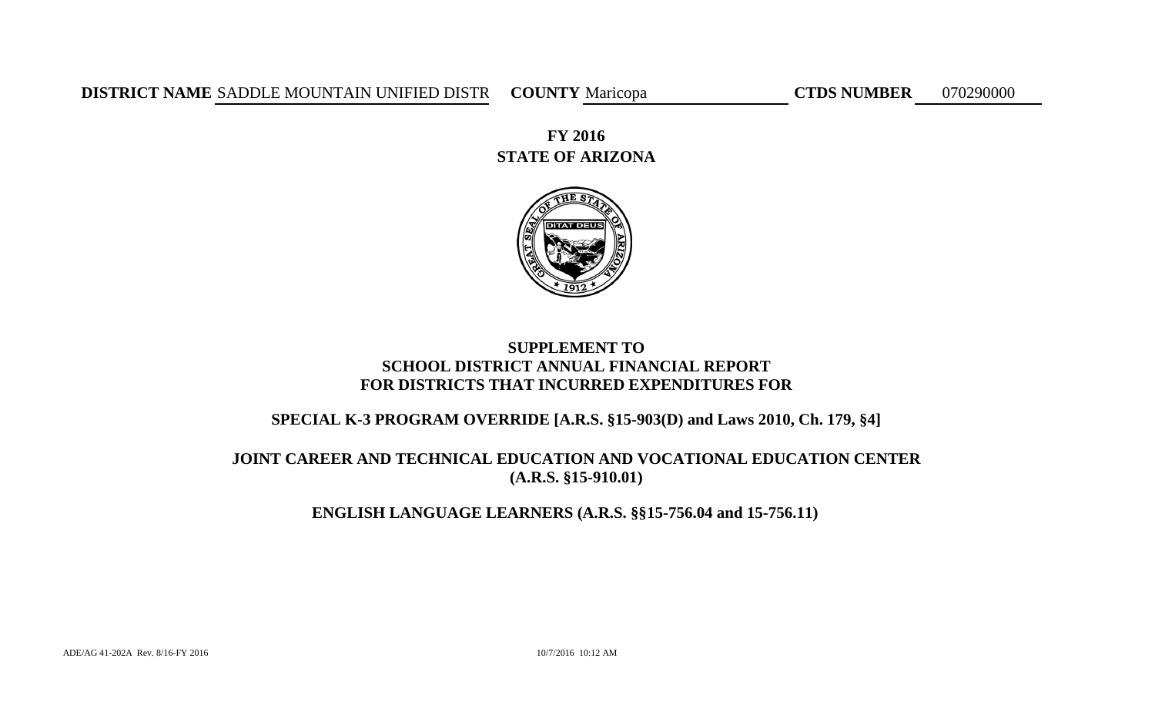**DISTRICT NAME** SADDLE MOUNTAIN UNIFIED DISTR COUNTY Maricopa CTDS NUMBER 070290000

**STATE OF ARIZONA FY 2016**



# **SUPPLEMENT TO SCHOOL DISTRICT ANNUAL FINANCIAL REPORT FOR DISTRICTS THAT INCURRED EXPENDITURES FOR**

# **SPECIAL K-3 PROGRAM OVERRIDE [A.R.S. §15-903(D) and Laws 2010, Ch. 179, §4]**

# **JOINT CAREER AND TECHNICAL EDUCATION AND VOCATIONAL EDUCATION CENTER (A.R.S. §15-910.01)**

# **ENGLISH LANGUAGE LEARNERS (A.R.S. §§15-756.04 and 15-756.11)**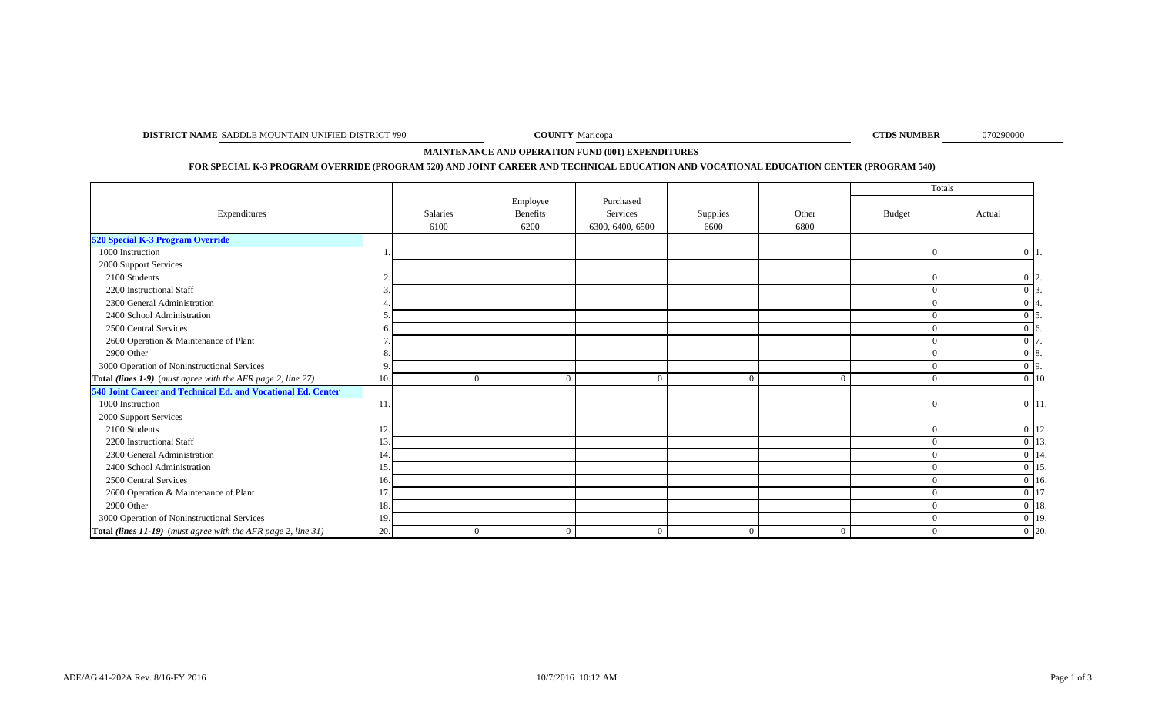**DISTRICT NAME** SADDLE MOUNTAIN UNIFIED DISTRICT #90 **COUNTY** Maricopa **COUNTY** Maricopa **COUNTY** Maricopa **COUNTY** 

**COUNTY** Maricopa

070290000

**MAINTENANCE AND OPERATION FUND (001) EXPENDITURES** 

**FOR SPECIAL K-3 PROGRAM OVERRIDE (PROGRAM 520) AND JOINT CAREER AND TECHNICAL EDUCATION AND VOCATIONAL EDUCATION CENTER (PROGRAM 540)**

|                                                               |     |                  |                                     |                                           |                  |                | Totals         |                    |
|---------------------------------------------------------------|-----|------------------|-------------------------------------|-------------------------------------------|------------------|----------------|----------------|--------------------|
| Expenditures                                                  |     | Salaries<br>6100 | Employee<br><b>Benefits</b><br>6200 | Purchased<br>Services<br>6300, 6400, 6500 | Supplies<br>6600 | Other<br>6800  | <b>Budget</b>  | Actual             |
| 520 Special K-3 Program Override                              |     |                  |                                     |                                           |                  |                |                |                    |
| 1000 Instruction                                              |     |                  |                                     |                                           |                  |                | $\theta$       | $0\vert 1$         |
| 2000 Support Services                                         |     |                  |                                     |                                           |                  |                |                |                    |
| 2100 Students                                                 |     |                  |                                     |                                           |                  |                | $\Omega$       | $0\,12.$           |
| 2200 Instructional Staff                                      |     |                  |                                     |                                           |                  |                | $\Omega$       |                    |
| 2300 General Administration                                   |     |                  |                                     |                                           |                  |                | $\Omega$       |                    |
| 2400 School Administration                                    |     |                  |                                     |                                           |                  |                | $\Omega$       |                    |
| 2500 Central Services                                         |     |                  |                                     |                                           |                  |                | $\Omega$       | $0\,$ 6.           |
| 2600 Operation & Maintenance of Plant                         |     |                  |                                     |                                           |                  |                | $\theta$       | $\Omega$           |
| 2900 Other                                                    |     |                  |                                     |                                           |                  |                | $\Omega$       | $\Omega$<br>-18.   |
| 3000 Operation of Noninstructional Services                   |     |                  |                                     |                                           |                  |                | $\Omega$       | $0\vert 9$ .       |
| Total (lines 1-9) (must agree with the AFR page 2, line 27)   |     | $\Omega$         | $\Omega$                            | $\Omega$                                  | $\Omega$         |                | $\theta$       | $0 \mid 10.$       |
| 540 Joint Career and Technical Ed. and Vocational Ed. Center  |     |                  |                                     |                                           |                  |                |                |                    |
| 1000 Instruction                                              |     |                  |                                     |                                           |                  |                | $\Omega$       | $0 \vert 11.$      |
| 2000 Support Services                                         |     |                  |                                     |                                           |                  |                |                |                    |
| 2100 Students                                                 |     |                  |                                     |                                           |                  |                | $\mathbf{0}$   | $0 \vert 12.$      |
| 2200 Instructional Staff                                      |     |                  |                                     |                                           |                  |                | $\theta$       | $0\vert 13$        |
| 2300 General Administration                                   |     |                  |                                     |                                           |                  |                | $\Omega$       | $0 \vert 14$ .     |
| 2400 School Administration                                    |     |                  |                                     |                                           |                  |                | $\Omega$       | 0 15               |
| 2500 Central Services                                         |     |                  |                                     |                                           |                  |                | $\theta$       | $0 \vert 16$ .     |
| 2600 Operation & Maintenance of Plant                         |     |                  |                                     |                                           |                  |                | $\Omega$       | 0 17               |
| 2900 Other                                                    |     |                  |                                     |                                           |                  |                | $\Omega$       | $0\vert 18$ .      |
| 3000 Operation of Noninstructional Services                   |     |                  |                                     |                                           |                  |                | $\overline{0}$ | $0 \vert 19.$      |
| Total (lines 11-19) (must agree with the AFR page 2, line 31) | 20. | $\overline{0}$   | $\overline{0}$                      | $\mathbf{0}$                              | $\overline{0}$   | $\overline{0}$ | $\overline{0}$ | $\overline{0}$ 20. |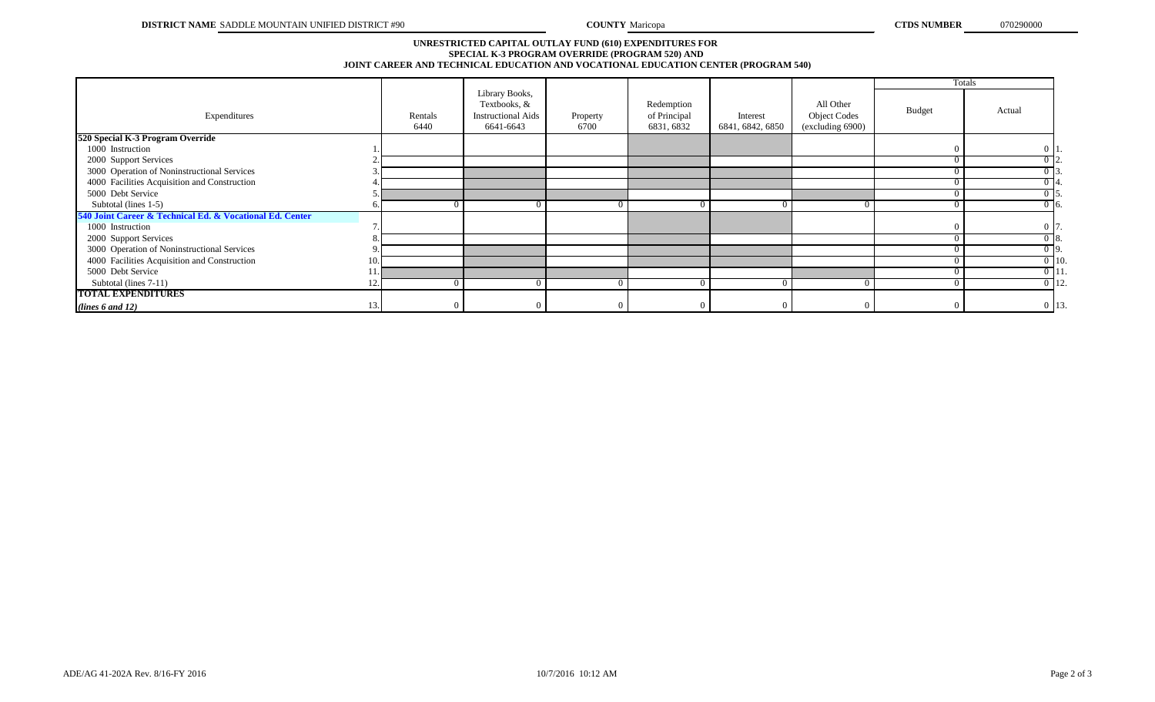# **SPECIAL K-3 PROGRAM OVERRIDE (PROGRAM 520) AND JOINT CAREER AND TECHNICAL EDUCATION AND VOCATIONAL EDUCATION CENTER (PROGRAM 540) UNRESTRICTED CAPITAL OUTLAY FUND (610) EXPENDITURES FOR**

|                                                          |     |                 |                                                                          |                  |                                          |                              |                                                      | Totals     |                    |
|----------------------------------------------------------|-----|-----------------|--------------------------------------------------------------------------|------------------|------------------------------------------|------------------------------|------------------------------------------------------|------------|--------------------|
| Expenditures                                             |     | Rentals<br>6440 | Library Books,<br>Textbooks, &<br><b>Instructional Aids</b><br>6641-6643 | Property<br>6700 | Redemption<br>of Principal<br>6831, 6832 | Interest<br>6841, 6842, 6850 | All Other<br><b>Object Codes</b><br>(excluding 6900) | Budget     | Actual             |
| 520 Special K-3 Program Override                         |     |                 |                                                                          |                  |                                          |                              |                                                      |            |                    |
| 1000 Instruction                                         |     |                 |                                                                          |                  |                                          |                              |                                                      |            | 0 11               |
| 2000 Support Services                                    |     |                 |                                                                          |                  |                                          |                              |                                                      | $\Omega$   | $0\,12.$           |
| 3000 Operation of Noninstructional Services              |     |                 |                                                                          |                  |                                          |                              |                                                      | $\Omega$   | 0 13               |
| 4000 Facilities Acquisition and Construction             |     |                 |                                                                          |                  |                                          |                              |                                                      | $\Omega$   | $0\,14.$           |
| 5000 Debt Service                                        |     |                 |                                                                          |                  |                                          |                              |                                                      | $^{\circ}$ | D 15.              |
| Subtotal (lines 1-5)                                     |     |                 |                                                                          |                  |                                          |                              |                                                      |            | $0\,16.$           |
| 540 Joint Career & Technical Ed. & Vocational Ed. Center |     |                 |                                                                          |                  |                                          |                              |                                                      |            |                    |
| 1000 Instruction                                         |     |                 |                                                                          |                  |                                          |                              |                                                      |            | $0\vert 7$         |
| 2000 Support Services                                    |     |                 |                                                                          |                  |                                          |                              |                                                      | - ( )      | 0 18.              |
| 3000 Operation of Noninstructional Services              |     |                 |                                                                          |                  |                                          |                              |                                                      | $\Omega$   | $\overline{0}$ 9.  |
| 4000 Facilities Acquisition and Construction             | 10. |                 |                                                                          |                  |                                          |                              |                                                      | $\Omega$   | $0 \vert 10.$      |
| 5000 Debt Service                                        |     |                 |                                                                          |                  |                                          |                              |                                                      | $\Omega$   | $\overline{0}$ 11. |
| Subtotal (lines 7-11)                                    |     |                 |                                                                          |                  |                                          |                              |                                                      | $\Omega$   | $0$ 12.            |
| <b>TOTAL EXPENDITURES</b>                                |     |                 |                                                                          |                  |                                          |                              |                                                      |            |                    |
| (lines $6$ and $12$ )                                    | 13  |                 |                                                                          |                  |                                          |                              | $\Omega$                                             | $\Omega$   | 0 13.              |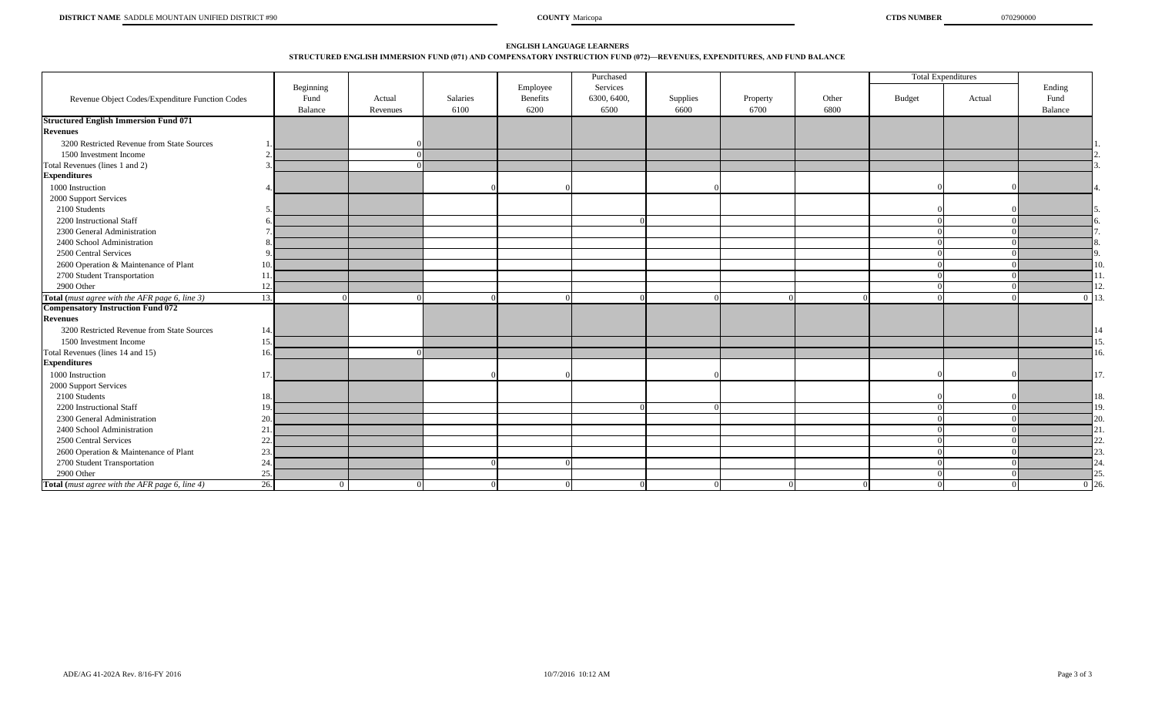# **STRUCTURED ENGLISH IMMERSION FUND (071) AND COMPENSATORY INSTRUCTION FUND (072)—REVENUES, EXPENDITURES, AND FUND BALANCE ENGLISH LANGUAGE LEARNERS**

|                                                 |                 |            |          |          | Purchased   |          |          |          |        | <b>Total Expenditures</b> |           |
|-------------------------------------------------|-----------------|------------|----------|----------|-------------|----------|----------|----------|--------|---------------------------|-----------|
|                                                 | Beginning       |            |          | Employee | Services    |          |          |          |        |                           | Ending    |
| Revenue Object Codes/Expenditure Function Codes | Fund            | Actual     | Salaries | Benefits | 6300, 6400, | Supplies | Property | Other    | Budget | Actual                    | Fund      |
|                                                 | Balance         | Revenues   | 6100     | 6200     | 6500        | 6600     | 6700     | 6800     |        |                           | Balance   |
| <b>Structured English Immersion Fund 071</b>    |                 |            |          |          |             |          |          |          |        |                           |           |
| <b>Revenues</b>                                 |                 |            |          |          |             |          |          |          |        |                           |           |
| 3200 Restricted Revenue from State Sources      |                 |            |          |          |             |          |          |          |        |                           |           |
| 1500 Investment Income                          |                 | $\sqrt{ }$ |          |          |             |          |          |          |        |                           |           |
| Total Revenues (lines 1 and 2)                  |                 |            |          |          |             |          |          |          |        |                           |           |
| <b>Expenditures</b>                             |                 |            |          |          |             |          |          |          |        |                           |           |
| 1000 Instruction                                |                 |            |          |          |             |          |          |          |        |                           |           |
| 2000 Support Services                           |                 |            |          |          |             |          |          |          |        |                           |           |
| 2100 Students                                   |                 |            |          |          |             |          |          |          |        |                           |           |
| 2200 Instructional Staff                        |                 |            |          |          |             |          |          |          |        |                           |           |
| 2300 General Administration                     |                 |            |          |          |             |          |          |          |        |                           |           |
| 2400 School Administration                      | -8              |            |          |          |             |          |          |          |        |                           |           |
| 2500 Central Services                           | $\Omega$        |            |          |          |             |          |          |          |        |                           |           |
| 2600 Operation & Maintenance of Plant           | 10.             |            |          |          |             |          |          |          |        |                           |           |
| 2700 Student Transportation                     |                 |            |          |          |             |          |          |          |        |                           |           |
| 2900 Other                                      | 12.             |            |          |          |             |          |          |          |        |                           |           |
| Total (must agree with the AFR page 6, line 3)  | 13.             |            |          | ∩        |             |          |          |          |        |                           | $0 \; 13$ |
| <b>Compensatory Instruction Fund 072</b>        |                 |            |          |          |             |          |          |          |        |                           |           |
| <b>Revenues</b>                                 |                 |            |          |          |             |          |          |          |        |                           |           |
| 3200 Restricted Revenue from State Sources      |                 |            |          |          |             |          |          |          |        |                           |           |
| 1500 Investment Income                          | 15              |            |          |          |             |          |          |          |        |                           |           |
| Total Revenues (lines 14 and 15)                | 16              |            |          |          |             |          |          |          |        |                           |           |
| <b>Expenditures</b>                             |                 |            |          |          |             |          |          |          |        |                           |           |
| 1000 Instruction                                | 17              |            |          |          |             |          |          |          |        |                           |           |
| 2000 Support Services                           |                 |            |          |          |             |          |          |          |        |                           |           |
| 2100 Students                                   |                 |            |          |          |             |          |          |          |        |                           |           |
| 2200 Instructional Staff                        | 19              |            |          |          |             |          |          |          |        |                           |           |
| 2300 General Administration                     | 20.             |            |          |          |             |          |          |          |        |                           | 20        |
| 2400 School Administration                      | 21.             |            |          |          |             |          |          |          |        |                           |           |
| 2500 Central Services                           | 22.             |            |          |          |             |          |          |          |        |                           |           |
| 2600 Operation & Maintenance of Plant           | 23.             |            |          |          |             |          |          |          |        |                           |           |
| 2700 Student Transportation                     | 24.             |            |          | $\Omega$ |             |          |          |          |        |                           |           |
| 2900 Other                                      | 25.             |            |          |          |             |          |          |          |        |                           |           |
| Total (must agree with the AFR page 6, line 4)  | 26.<br>$\Omega$ |            |          | $\Omega$ |             |          |          | $\Omega$ |        |                           | $0\,126$  |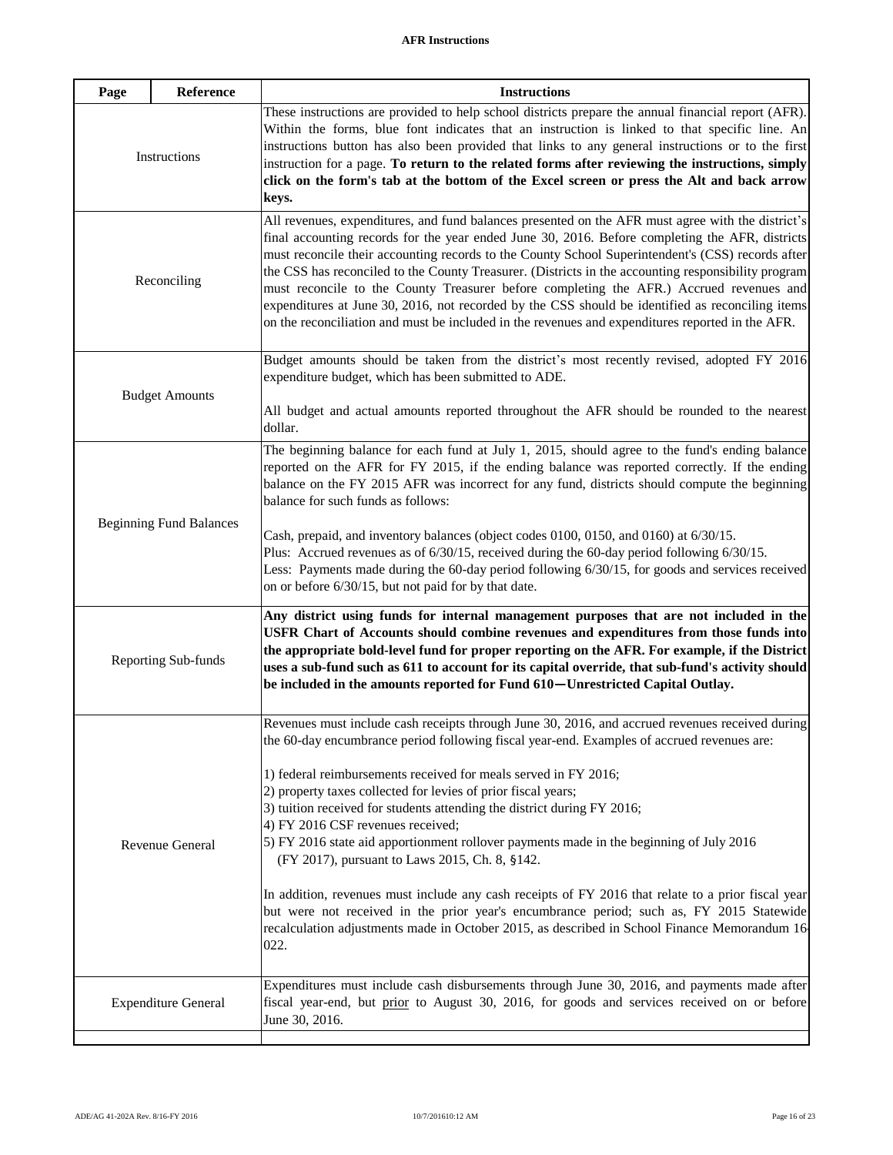| Page                           | Reference             | <b>Instructions</b>                                                                                                                                                                                                                                                                                                                                                                                                                                                                                                                                                                                                                                                                                                                                                                                                                                                                                      |
|--------------------------------|-----------------------|----------------------------------------------------------------------------------------------------------------------------------------------------------------------------------------------------------------------------------------------------------------------------------------------------------------------------------------------------------------------------------------------------------------------------------------------------------------------------------------------------------------------------------------------------------------------------------------------------------------------------------------------------------------------------------------------------------------------------------------------------------------------------------------------------------------------------------------------------------------------------------------------------------|
| Instructions                   |                       | These instructions are provided to help school districts prepare the annual financial report (AFR).<br>Within the forms, blue font indicates that an instruction is linked to that specific line. An<br>instructions button has also been provided that links to any general instructions or to the first<br>instruction for a page. To return to the related forms after reviewing the instructions, simply<br>click on the form's tab at the bottom of the Excel screen or press the Alt and back arrow<br>keys.                                                                                                                                                                                                                                                                                                                                                                                       |
| Reconciling                    |                       | All revenues, expenditures, and fund balances presented on the AFR must agree with the district's<br>final accounting records for the year ended June 30, 2016. Before completing the AFR, districts<br>must reconcile their accounting records to the County School Superintendent's (CSS) records after<br>the CSS has reconciled to the County Treasurer. (Districts in the accounting responsibility program<br>must reconcile to the County Treasurer before completing the AFR.) Accrued revenues and<br>expenditures at June 30, 2016, not recorded by the CSS should be identified as reconciling items<br>on the reconciliation and must be included in the revenues and expenditures reported in the AFR.                                                                                                                                                                                      |
|                                | <b>Budget Amounts</b> | Budget amounts should be taken from the district's most recently revised, adopted FY 2016<br>expenditure budget, which has been submitted to ADE.<br>All budget and actual amounts reported throughout the AFR should be rounded to the nearest                                                                                                                                                                                                                                                                                                                                                                                                                                                                                                                                                                                                                                                          |
|                                |                       | dollar.                                                                                                                                                                                                                                                                                                                                                                                                                                                                                                                                                                                                                                                                                                                                                                                                                                                                                                  |
| <b>Beginning Fund Balances</b> |                       | The beginning balance for each fund at July 1, 2015, should agree to the fund's ending balance<br>reported on the AFR for FY 2015, if the ending balance was reported correctly. If the ending<br>balance on the FY 2015 AFR was incorrect for any fund, districts should compute the beginning<br>balance for such funds as follows:<br>Cash, prepaid, and inventory balances (object codes 0100, 0150, and 0160) at 6/30/15.<br>Plus: Accrued revenues as of 6/30/15, received during the 60-day period following 6/30/15.<br>Less: Payments made during the 60-day period following 6/30/15, for goods and services received<br>on or before 6/30/15, but not paid for by that date.                                                                                                                                                                                                                  |
| Reporting Sub-funds            |                       | Any district using funds for internal management purposes that are not included in the<br>USFR Chart of Accounts should combine revenues and expenditures from those funds into<br>the appropriate bold-level fund for proper reporting on the AFR. For example, if the District<br>uses a sub-fund such as 611 to account for its capital override, that sub-fund's activity should<br>be included in the amounts reported for Fund 610-Unrestricted Capital Outlay.                                                                                                                                                                                                                                                                                                                                                                                                                                    |
| Revenue General                |                       | Revenues must include cash receipts through June 30, 2016, and accrued revenues received during<br>the 60-day encumbrance period following fiscal year-end. Examples of accrued revenues are:<br>1) federal reimbursements received for meals served in FY 2016;<br>2) property taxes collected for levies of prior fiscal years;<br>3) tuition received for students attending the district during FY 2016;<br>4) FY 2016 CSF revenues received;<br>5) FY 2016 state aid apportionment rollover payments made in the beginning of July 2016<br>(FY 2017), pursuant to Laws 2015, Ch. 8, §142.<br>In addition, revenues must include any cash receipts of FY 2016 that relate to a prior fiscal year<br>but were not received in the prior year's encumbrance period; such as, FY 2015 Statewide<br>recalculation adjustments made in October 2015, as described in School Finance Memorandum 16<br>022. |
| <b>Expenditure General</b>     |                       | Expenditures must include cash disbursements through June 30, 2016, and payments made after<br>fiscal year-end, but prior to August 30, 2016, for goods and services received on or before<br>June 30, 2016.                                                                                                                                                                                                                                                                                                                                                                                                                                                                                                                                                                                                                                                                                             |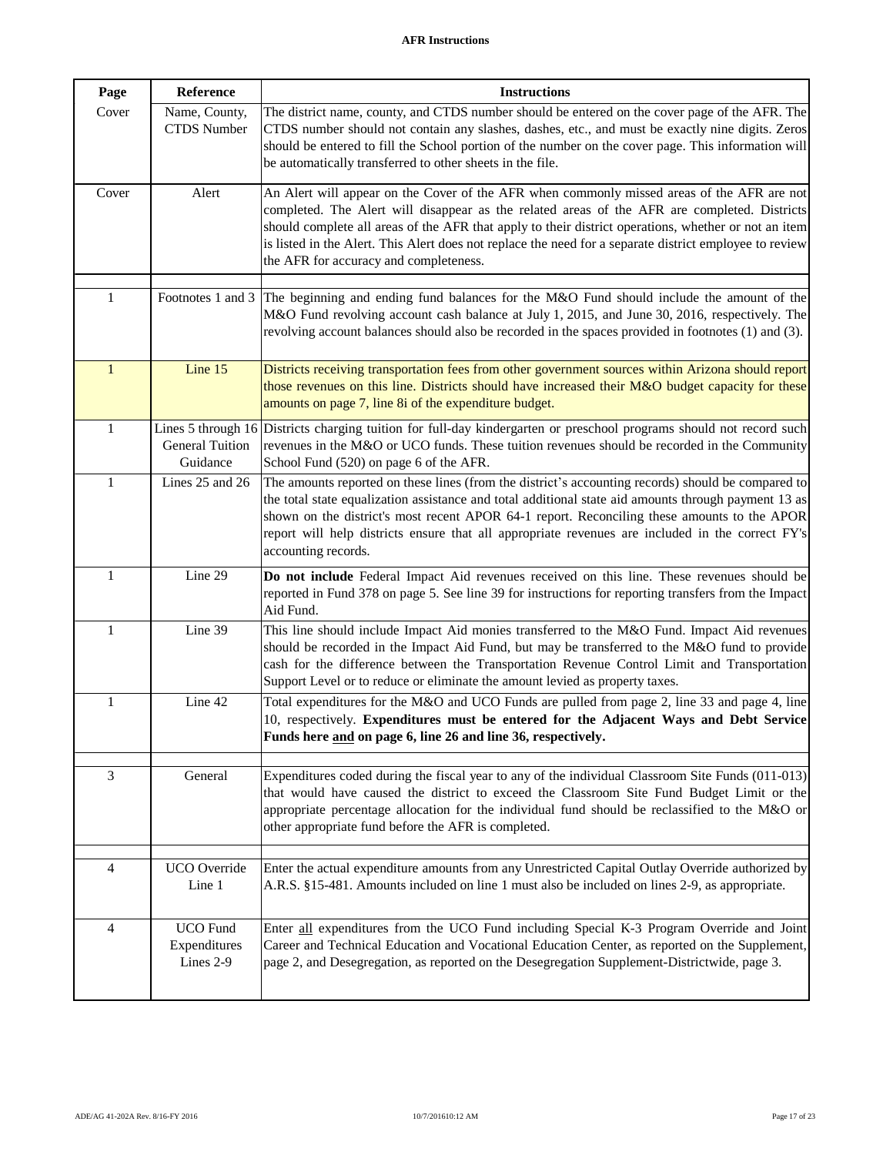# **AFR Instructions**

| Page           | Reference                                    | <b>Instructions</b>                                                                                                                                                                                                                                                                                                                                                                                                                                     |
|----------------|----------------------------------------------|---------------------------------------------------------------------------------------------------------------------------------------------------------------------------------------------------------------------------------------------------------------------------------------------------------------------------------------------------------------------------------------------------------------------------------------------------------|
| Cover          | Name, County,<br><b>CTDS</b> Number          | The district name, county, and CTDS number should be entered on the cover page of the AFR. The<br>CTDS number should not contain any slashes, dashes, etc., and must be exactly nine digits. Zeros<br>should be entered to fill the School portion of the number on the cover page. This information will<br>be automatically transferred to other sheets in the file.                                                                                  |
| Cover          | Alert                                        | An Alert will appear on the Cover of the AFR when commonly missed areas of the AFR are not<br>completed. The Alert will disappear as the related areas of the AFR are completed. Districts<br>should complete all areas of the AFR that apply to their district operations, whether or not an item<br>is listed in the Alert. This Alert does not replace the need for a separate district employee to review<br>the AFR for accuracy and completeness. |
| $\mathbf{1}$   |                                              | Footnotes 1 and 3 The beginning and ending fund balances for the M&O Fund should include the amount of the<br>M&O Fund revolving account cash balance at July 1, 2015, and June 30, 2016, respectively. The<br>revolving account balances should also be recorded in the spaces provided in footnotes (1) and (3).                                                                                                                                      |
| $\mathbf{1}$   | Line 15                                      | Districts receiving transportation fees from other government sources within Arizona should report<br>those revenues on this line. Districts should have increased their M&O budget capacity for these<br>amounts on page 7, line 8i of the expenditure budget.                                                                                                                                                                                         |
| $\mathbf{1}$   | <b>General Tuition</b><br>Guidance           | Lines 5 through 16 Districts charging tuition for full-day kindergarten or preschool programs should not record such<br>revenues in the M&O or UCO funds. These tuition revenues should be recorded in the Community<br>School Fund (520) on page 6 of the AFR.                                                                                                                                                                                         |
| 1              | Lines 25 and 26                              | The amounts reported on these lines (from the district's accounting records) should be compared to<br>the total state equalization assistance and total additional state aid amounts through payment 13 as<br>shown on the district's most recent APOR 64-1 report. Reconciling these amounts to the APOR<br>report will help districts ensure that all appropriate revenues are included in the correct FY's<br>accounting records.                    |
| 1              | Line 29                                      | Do not include Federal Impact Aid revenues received on this line. These revenues should be<br>reported in Fund 378 on page 5. See line 39 for instructions for reporting transfers from the Impact<br>Aid Fund.                                                                                                                                                                                                                                         |
| 1              | Line 39                                      | This line should include Impact Aid monies transferred to the M&O Fund. Impact Aid revenues<br>should be recorded in the Impact Aid Fund, but may be transferred to the M&O fund to provide<br>cash for the difference between the Transportation Revenue Control Limit and Transportation<br>Support Level or to reduce or eliminate the amount levied as property taxes.                                                                              |
| $\mathbf{1}$   | Line 42                                      | Total expenditures for the M&O and UCO Funds are pulled from page 2, line 33 and page 4, line<br>10, respectively. Expenditures must be entered for the Adjacent Ways and Debt Service<br>Funds here and on page 6, line 26 and line 36, respectively.                                                                                                                                                                                                  |
| $\mathfrak{Z}$ | General                                      | Expenditures coded during the fiscal year to any of the individual Classroom Site Funds (011-013)<br>that would have caused the district to exceed the Classroom Site Fund Budget Limit or the<br>appropriate percentage allocation for the individual fund should be reclassified to the M&O or<br>other appropriate fund before the AFR is completed.                                                                                                 |
| $\overline{4}$ | UCO Override<br>Line 1                       | Enter the actual expenditure amounts from any Unrestricted Capital Outlay Override authorized by<br>A.R.S. §15-481. Amounts included on line 1 must also be included on lines 2-9, as appropriate.                                                                                                                                                                                                                                                      |
| 4              | <b>UCO</b> Fund<br>Expenditures<br>Lines 2-9 | Enter all expenditures from the UCO Fund including Special K-3 Program Override and Joint<br>Career and Technical Education and Vocational Education Center, as reported on the Supplement,<br>page 2, and Desegregation, as reported on the Desegregation Supplement-Districtwide, page 3.                                                                                                                                                             |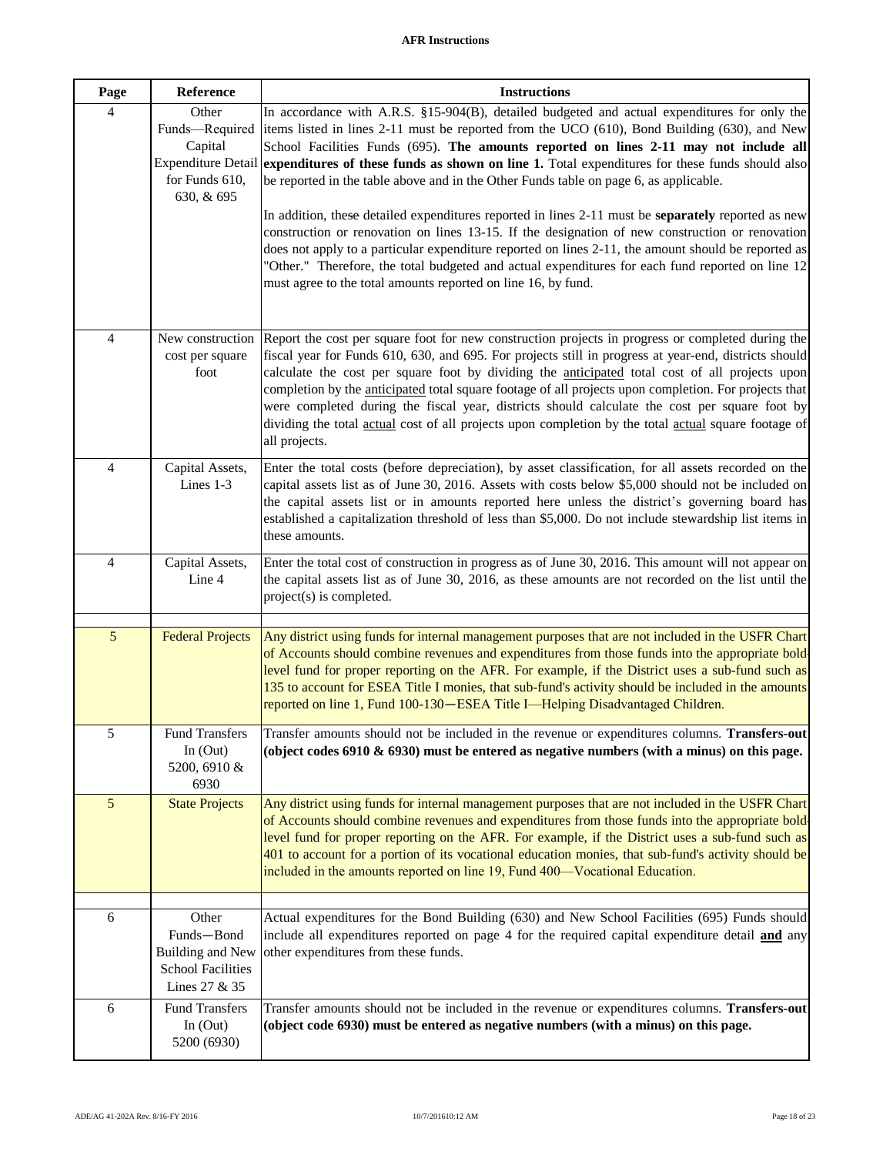| Page | Reference                                                                                       | <b>Instructions</b>                                                                                                                                                                                                                                                                                                                                                                                                                                                                                                                                                                                                                             |
|------|-------------------------------------------------------------------------------------------------|-------------------------------------------------------------------------------------------------------------------------------------------------------------------------------------------------------------------------------------------------------------------------------------------------------------------------------------------------------------------------------------------------------------------------------------------------------------------------------------------------------------------------------------------------------------------------------------------------------------------------------------------------|
| 4    | Other<br>Funds-Required<br>Capital<br><b>Expenditure Detail</b><br>for Funds 610,<br>630, & 695 | In accordance with A.R.S. §15-904(B), detailed budgeted and actual expenditures for only the<br>items listed in lines 2-11 must be reported from the UCO (610), Bond Building (630), and New<br>School Facilities Funds (695). The amounts reported on lines 2-11 may not include all<br>expenditures of these funds as shown on line 1. Total expenditures for these funds should also<br>be reported in the table above and in the Other Funds table on page 6, as applicable.<br>In addition, these detailed expenditures reported in lines 2-11 must be separately reported as new                                                          |
|      |                                                                                                 | construction or renovation on lines 13-15. If the designation of new construction or renovation<br>does not apply to a particular expenditure reported on lines 2-11, the amount should be reported as<br>"Other." Therefore, the total budgeted and actual expenditures for each fund reported on line 12<br>must agree to the total amounts reported on line 16, by fund.                                                                                                                                                                                                                                                                     |
| 4    | New construction<br>cost per square<br>foot                                                     | Report the cost per square foot for new construction projects in progress or completed during the<br>fiscal year for Funds 610, 630, and 695. For projects still in progress at year-end, districts should<br>calculate the cost per square foot by dividing the anticipated total cost of all projects upon<br>completion by the anticipated total square footage of all projects upon completion. For projects that<br>were completed during the fiscal year, districts should calculate the cost per square foot by<br>dividing the total actual cost of all projects upon completion by the total actual square footage of<br>all projects. |
| 4    | Capital Assets,<br>Lines 1-3                                                                    | Enter the total costs (before depreciation), by asset classification, for all assets recorded on the<br>capital assets list as of June 30, 2016. Assets with costs below \$5,000 should not be included on<br>the capital assets list or in amounts reported here unless the district's governing board has<br>established a capitalization threshold of less than \$5,000. Do not include stewardship list items in<br>these amounts.                                                                                                                                                                                                          |
| 4    | Capital Assets,<br>Line 4                                                                       | Enter the total cost of construction in progress as of June 30, 2016. This amount will not appear on<br>the capital assets list as of June 30, 2016, as these amounts are not recorded on the list until the<br>project(s) is completed.                                                                                                                                                                                                                                                                                                                                                                                                        |
| 5    | <b>Federal Projects</b>                                                                         | Any district using funds for internal management purposes that are not included in the USFR Chart<br>of Accounts should combine revenues and expenditures from those funds into the appropriate bold<br>level fund for proper reporting on the AFR. For example, if the District uses a sub-fund such as<br>135 to account for ESEA Title I monies, that sub-fund's activity should be included in the amounts<br>reported on line 1, Fund 100-130-ESEA Title I-Helping Disadvantaged Children.                                                                                                                                                 |
| 5    | <b>Fund Transfers</b><br>In $(Out)$<br>5200, 6910 &<br>6930                                     | Transfer amounts should not be included in the revenue or expenditures columns. Transfers-out<br>(object codes 6910 $\&$ 6930) must be entered as negative numbers (with a minus) on this page.                                                                                                                                                                                                                                                                                                                                                                                                                                                 |
| 5    | <b>State Projects</b>                                                                           | Any district using funds for internal management purposes that are not included in the USFR Chart<br>of Accounts should combine revenues and expenditures from those funds into the appropriate bold<br>level fund for proper reporting on the AFR. For example, if the District uses a sub-fund such as<br>401 to account for a portion of its vocational education monies, that sub-fund's activity should be<br>included in the amounts reported on line 19, Fund 400-Vocational Education.                                                                                                                                                  |
| 6    | Other<br>Funds-Bond<br><b>Building and New</b><br><b>School Facilities</b><br>Lines 27 & 35     | Actual expenditures for the Bond Building (630) and New School Facilities (695) Funds should<br>include all expenditures reported on page 4 for the required capital expenditure detail <b>and</b> any<br>other expenditures from these funds.                                                                                                                                                                                                                                                                                                                                                                                                  |
| 6    | <b>Fund Transfers</b><br>In $(Out)$<br>5200 (6930)                                              | Transfer amounts should not be included in the revenue or expenditures columns. Transfers-out<br>(object code 6930) must be entered as negative numbers (with a minus) on this page.                                                                                                                                                                                                                                                                                                                                                                                                                                                            |

**I**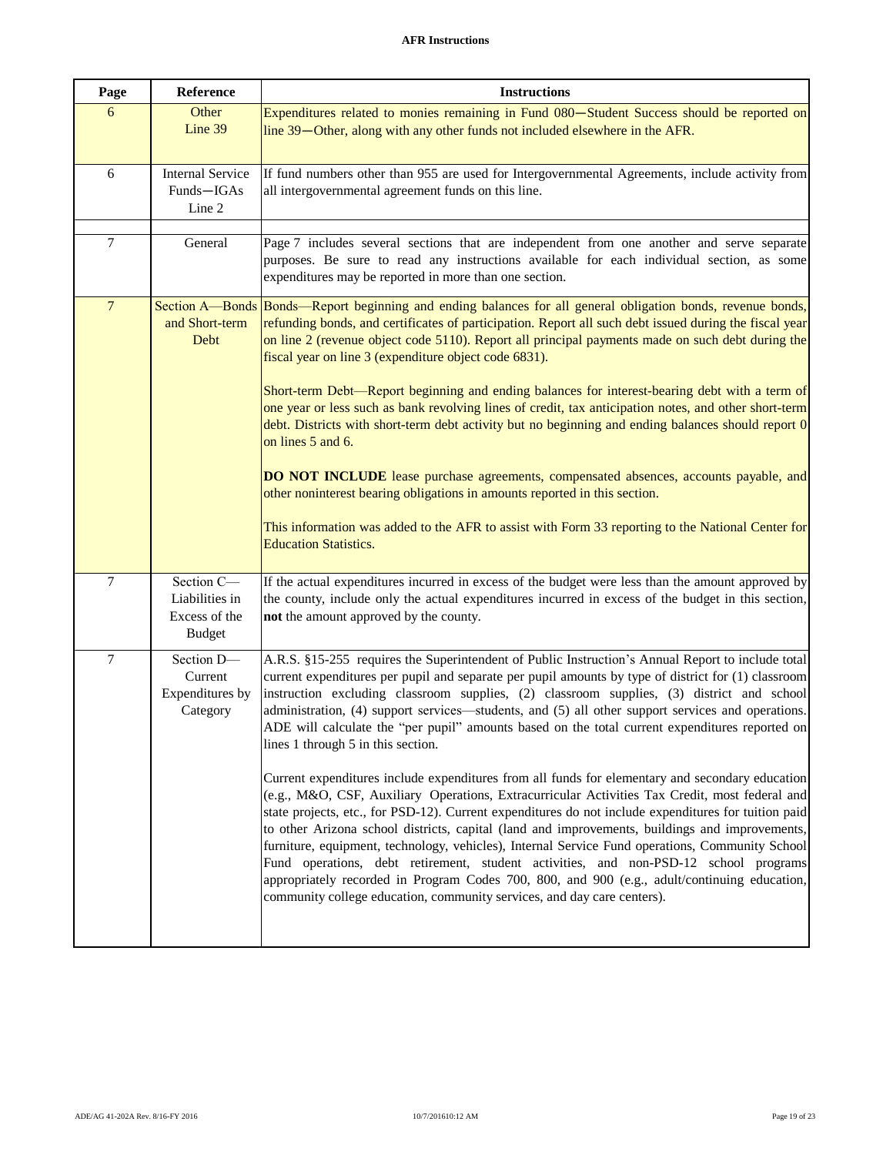| Page           | Reference                                                      | <b>Instructions</b>                                                                                                                                                                                                                                                                                                                                                                                                                                                                                                                                                                                                                                                                                                                                                               |
|----------------|----------------------------------------------------------------|-----------------------------------------------------------------------------------------------------------------------------------------------------------------------------------------------------------------------------------------------------------------------------------------------------------------------------------------------------------------------------------------------------------------------------------------------------------------------------------------------------------------------------------------------------------------------------------------------------------------------------------------------------------------------------------------------------------------------------------------------------------------------------------|
| 6              | Other<br>Line 39                                               | Expenditures related to monies remaining in Fund 080-Student Success should be reported on<br>line 39—Other, along with any other funds not included elsewhere in the AFR.                                                                                                                                                                                                                                                                                                                                                                                                                                                                                                                                                                                                        |
| 6              | <b>Internal Service</b><br>Funds-IGAs<br>Line 2                | If fund numbers other than 955 are used for Intergovernmental Agreements, include activity from<br>all intergovernmental agreement funds on this line.                                                                                                                                                                                                                                                                                                                                                                                                                                                                                                                                                                                                                            |
| 7              | General                                                        | Page 7 includes several sections that are independent from one another and serve separate<br>purposes. Be sure to read any instructions available for each individual section, as some<br>expenditures may be reported in more than one section.                                                                                                                                                                                                                                                                                                                                                                                                                                                                                                                                  |
| $\overline{7}$ | and Short-term<br>Debt                                         | Section A—Bonds Bonds—Report beginning and ending balances for all general obligation bonds, revenue bonds,<br>refunding bonds, and certificates of participation. Report all such debt issued during the fiscal year<br>on line 2 (revenue object code 5110). Report all principal payments made on such debt during the<br>fiscal year on line 3 (expenditure object code 6831).<br>Short-term Debt—Report beginning and ending balances for interest-bearing debt with a term of                                                                                                                                                                                                                                                                                               |
|                |                                                                | one year or less such as bank revolving lines of credit, tax anticipation notes, and other short-term<br>debt. Districts with short-term debt activity but no beginning and ending balances should report 0<br>on lines 5 and 6.                                                                                                                                                                                                                                                                                                                                                                                                                                                                                                                                                  |
|                |                                                                | DO NOT INCLUDE lease purchase agreements, compensated absences, accounts payable, and<br>other noninterest bearing obligations in amounts reported in this section.                                                                                                                                                                                                                                                                                                                                                                                                                                                                                                                                                                                                               |
|                |                                                                | This information was added to the AFR to assist with Form 33 reporting to the National Center for<br><b>Education Statistics.</b>                                                                                                                                                                                                                                                                                                                                                                                                                                                                                                                                                                                                                                                 |
| $\tau$         | Section C-<br>Liabilities in<br>Excess of the<br><b>Budget</b> | If the actual expenditures incurred in excess of the budget were less than the amount approved by<br>the county, include only the actual expenditures incurred in excess of the budget in this section,<br>not the amount approved by the county.                                                                                                                                                                                                                                                                                                                                                                                                                                                                                                                                 |
| 7              | Section D-<br>Current<br>Expenditures by<br>Category           | A.R.S. §15-255 requires the Superintendent of Public Instruction's Annual Report to include total<br>current expenditures per pupil and separate per pupil amounts by type of district for (1) classroom<br>instruction excluding classroom supplies, (2) classroom supplies, (3) district and school<br>administration, (4) support services—students, and (5) all other support services and operations.<br>ADE will calculate the "per pupil" amounts based on the total current expenditures reported on<br>lines 1 through 5 in this section.                                                                                                                                                                                                                                |
|                |                                                                | Current expenditures include expenditures from all funds for elementary and secondary education<br>(e.g., M&O, CSF, Auxiliary Operations, Extracurricular Activities Tax Credit, most federal and<br>state projects, etc., for PSD-12). Current expenditures do not include expenditures for tuition paid<br>to other Arizona school districts, capital (land and improvements, buildings and improvements,<br>furniture, equipment, technology, vehicles), Internal Service Fund operations, Community School<br>Fund operations, debt retirement, student activities, and non-PSD-12 school programs<br>appropriately recorded in Program Codes 700, 800, and 900 (e.g., adult/continuing education,<br>community college education, community services, and day care centers). |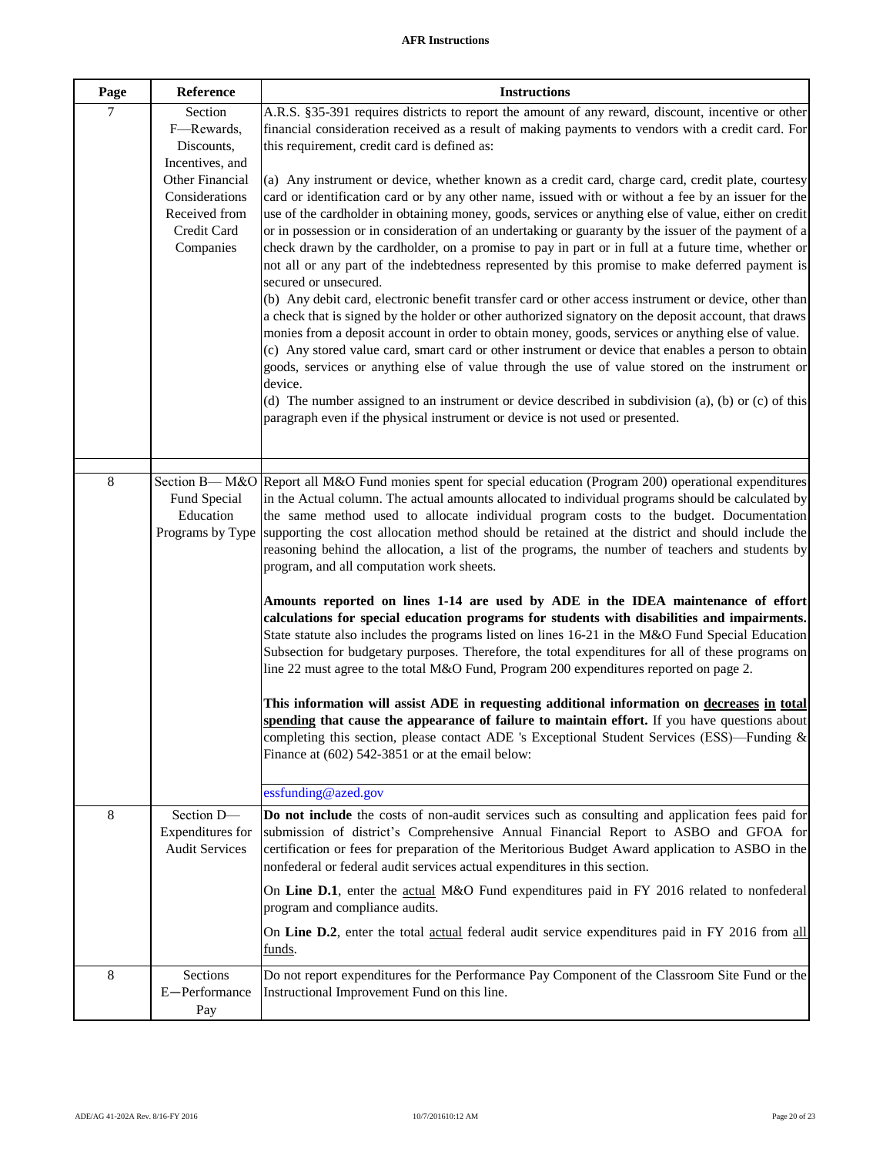| Page           | Reference                                                                      | <b>Instructions</b>                                                                                                                                                                                                                                                                                                                                                                                                                                                                                                                                                                                                                                                                                                                                                                                                                                                                                                                                                                                                                                                                                                                                                                                                                                                                                                                                                                               |
|----------------|--------------------------------------------------------------------------------|---------------------------------------------------------------------------------------------------------------------------------------------------------------------------------------------------------------------------------------------------------------------------------------------------------------------------------------------------------------------------------------------------------------------------------------------------------------------------------------------------------------------------------------------------------------------------------------------------------------------------------------------------------------------------------------------------------------------------------------------------------------------------------------------------------------------------------------------------------------------------------------------------------------------------------------------------------------------------------------------------------------------------------------------------------------------------------------------------------------------------------------------------------------------------------------------------------------------------------------------------------------------------------------------------------------------------------------------------------------------------------------------------|
| $\overline{7}$ | Section<br>F-Rewards,<br>Discounts,<br>Incentives, and                         | A.R.S. §35-391 requires districts to report the amount of any reward, discount, incentive or other<br>financial consideration received as a result of making payments to vendors with a credit card. For<br>this requirement, credit card is defined as:                                                                                                                                                                                                                                                                                                                                                                                                                                                                                                                                                                                                                                                                                                                                                                                                                                                                                                                                                                                                                                                                                                                                          |
|                | Other Financial<br>Considerations<br>Received from<br>Credit Card<br>Companies | $(a)$ Any instrument or device, whether known as a credit card, charge card, credit plate, courtesy<br>card or identification card or by any other name, issued with or without a fee by an issuer for the<br>use of the cardholder in obtaining money, goods, services or anything else of value, either on credit<br>or in possession or in consideration of an undertaking or guaranty by the issuer of the payment of a<br>check drawn by the cardholder, on a promise to pay in part or in full at a future time, whether or<br>not all or any part of the indebtedness represented by this promise to make deferred payment is<br>secured or unsecured.<br>(b) Any debit card, electronic benefit transfer card or other access instrument or device, other than<br>a check that is signed by the holder or other authorized signatory on the deposit account, that draws<br>monies from a deposit account in order to obtain money, goods, services or anything else of value.<br>(c) Any stored value card, smart card or other instrument or device that enables a person to obtain<br>goods, services or anything else of value through the use of value stored on the instrument or<br>device.<br>(d) The number assigned to an instrument or device described in subdivision (a), (b) or (c) of this<br>paragraph even if the physical instrument or device is not used or presented. |
| 8              | Fund Special<br>Education                                                      | Section B— M&O Report all M&O Fund monies spent for special education (Program 200) operational expenditures<br>in the Actual column. The actual amounts allocated to individual programs should be calculated by<br>the same method used to allocate individual program costs to the budget. Documentation<br>Programs by Type supporting the cost allocation method should be retained at the district and should include the<br>reasoning behind the allocation, a list of the programs, the number of teachers and students by<br>program, and all computation work sheets.<br>Amounts reported on lines 1-14 are used by ADE in the IDEA maintenance of effort<br>calculations for special education programs for students with disabilities and impairments.<br>State statute also includes the programs listed on lines 16-21 in the M&O Fund Special Education<br>Subsection for budgetary purposes. Therefore, the total expenditures for all of these programs on<br>line 22 must agree to the total M&O Fund, Program 200 expenditures reported on page 2.<br>This information will assist ADE in requesting additional information on decreases in total<br>spending that cause the appearance of failure to maintain effort. If you have questions about                                                                                                                             |
|                |                                                                                | completing this section, please contact ADE 's Exceptional Student Services (ESS)—Funding $\&$<br>Finance at (602) 542-3851 or at the email below:<br>essfunding@azed.gov                                                                                                                                                                                                                                                                                                                                                                                                                                                                                                                                                                                                                                                                                                                                                                                                                                                                                                                                                                                                                                                                                                                                                                                                                         |
| 8              | Section D-<br>Expenditures for<br><b>Audit Services</b>                        | Do not include the costs of non-audit services such as consulting and application fees paid for<br>submission of district's Comprehensive Annual Financial Report to ASBO and GFOA for<br>certification or fees for preparation of the Meritorious Budget Award application to ASBO in the<br>nonfederal or federal audit services actual expenditures in this section.<br>On Line D.1, enter the actual M&O Fund expenditures paid in FY 2016 related to nonfederal                                                                                                                                                                                                                                                                                                                                                                                                                                                                                                                                                                                                                                                                                                                                                                                                                                                                                                                              |
|                |                                                                                | program and compliance audits.<br>On Line D.2, enter the total actual federal audit service expenditures paid in FY 2016 from all<br>funds.                                                                                                                                                                                                                                                                                                                                                                                                                                                                                                                                                                                                                                                                                                                                                                                                                                                                                                                                                                                                                                                                                                                                                                                                                                                       |
| 8              | Sections<br>E-Performance<br>Pay                                               | Do not report expenditures for the Performance Pay Component of the Classroom Site Fund or the<br>Instructional Improvement Fund on this line.                                                                                                                                                                                                                                                                                                                                                                                                                                                                                                                                                                                                                                                                                                                                                                                                                                                                                                                                                                                                                                                                                                                                                                                                                                                    |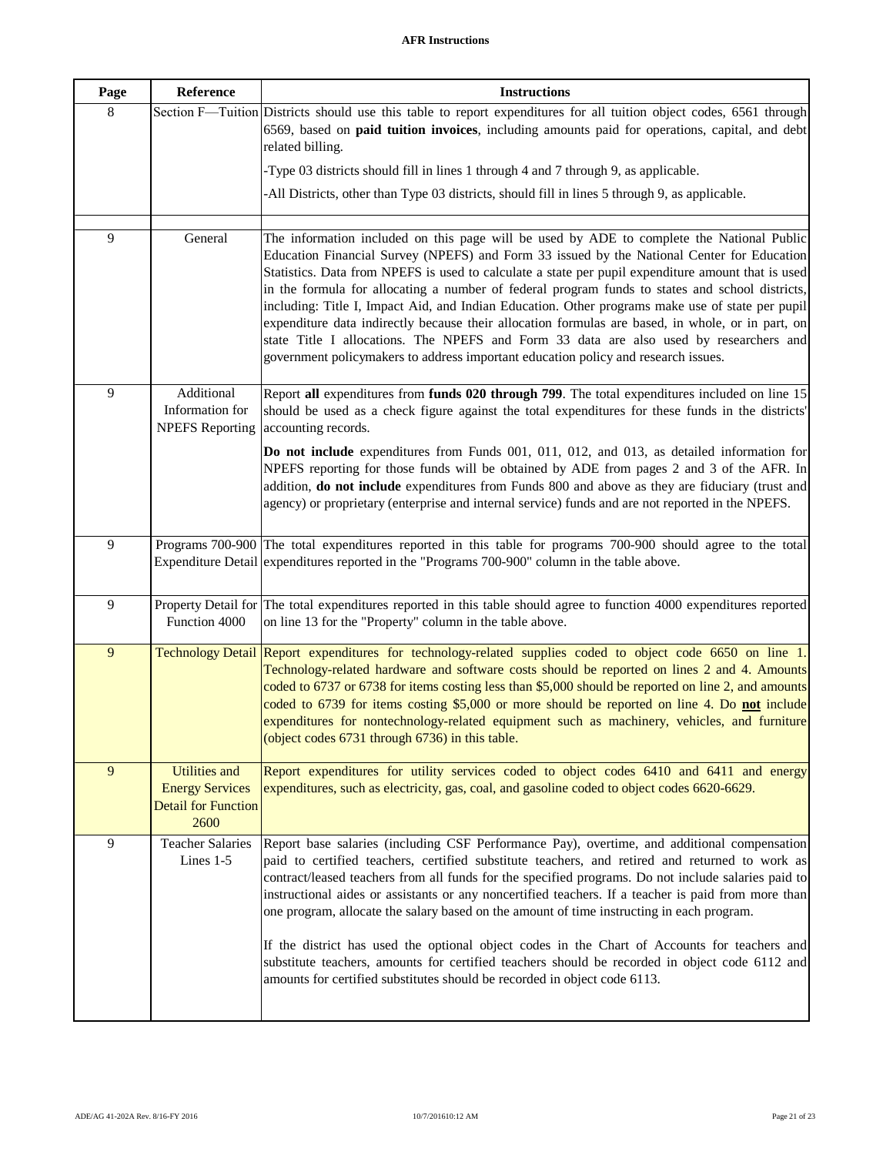| Page | Reference                                                                            | <b>Instructions</b>                                                                                                                                                                                                                                                                                                                                                                                                                                                                                                                                                                                                                                                                                                                                                                       |
|------|--------------------------------------------------------------------------------------|-------------------------------------------------------------------------------------------------------------------------------------------------------------------------------------------------------------------------------------------------------------------------------------------------------------------------------------------------------------------------------------------------------------------------------------------------------------------------------------------------------------------------------------------------------------------------------------------------------------------------------------------------------------------------------------------------------------------------------------------------------------------------------------------|
| 8    |                                                                                      | Section F-Tuition Districts should use this table to report expenditures for all tuition object codes, 6561 through<br>6569, based on <b>paid tuition invoices</b> , including amounts paid for operations, capital, and debt<br>related billing.                                                                                                                                                                                                                                                                                                                                                                                                                                                                                                                                         |
|      |                                                                                      | -Type 03 districts should fill in lines 1 through 4 and 7 through 9, as applicable.                                                                                                                                                                                                                                                                                                                                                                                                                                                                                                                                                                                                                                                                                                       |
|      |                                                                                      | -All Districts, other than Type 03 districts, should fill in lines 5 through 9, as applicable.                                                                                                                                                                                                                                                                                                                                                                                                                                                                                                                                                                                                                                                                                            |
| 9    | General                                                                              | The information included on this page will be used by ADE to complete the National Public<br>Education Financial Survey (NPEFS) and Form 33 issued by the National Center for Education<br>Statistics. Data from NPEFS is used to calculate a state per pupil expenditure amount that is used<br>in the formula for allocating a number of federal program funds to states and school districts,<br>including: Title I, Impact Aid, and Indian Education. Other programs make use of state per pupil<br>expenditure data indirectly because their allocation formulas are based, in whole, or in part, on<br>state Title I allocations. The NPEFS and Form 33 data are also used by researchers and<br>government policymakers to address important education policy and research issues. |
| 9    | Additional<br>Information for<br><b>NPEFS</b> Reporting                              | Report all expenditures from funds 020 through 799. The total expenditures included on line 15<br>should be used as a check figure against the total expenditures for these funds in the districts'<br>accounting records.                                                                                                                                                                                                                                                                                                                                                                                                                                                                                                                                                                |
|      |                                                                                      | Do not include expenditures from Funds 001, 011, 012, and 013, as detailed information for<br>NPEFS reporting for those funds will be obtained by ADE from pages 2 and 3 of the AFR. In<br>addition, do not include expenditures from Funds 800 and above as they are fiduciary (trust and<br>agency) or proprietary (enterprise and internal service) funds and are not reported in the NPEFS.                                                                                                                                                                                                                                                                                                                                                                                           |
| 9    |                                                                                      | Programs 700-900 The total expenditures reported in this table for programs 700-900 should agree to the total<br>Expenditure Detail expenditures reported in the "Programs 700-900" column in the table above.                                                                                                                                                                                                                                                                                                                                                                                                                                                                                                                                                                            |
| 9    | Function 4000                                                                        | Property Detail for The total expenditures reported in this table should agree to function 4000 expenditures reported<br>on line 13 for the "Property" column in the table above.                                                                                                                                                                                                                                                                                                                                                                                                                                                                                                                                                                                                         |
| 9    |                                                                                      | Technology Detail Report expenditures for technology-related supplies coded to object code 6650 on line 1.<br>Technology-related hardware and software costs should be reported on lines 2 and 4. Amounts<br>coded to 6737 or 6738 for items costing less than \$5,000 should be reported on line 2, and amounts<br>coded to 6739 for items costing \$5,000 or more should be reported on line 4. Do not include<br>expenditures for nontechnology-related equipment such as machinery, vehicles, and furniture<br>(object codes 6731 through 6736) in this table.                                                                                                                                                                                                                        |
| 9    | <b>Utilities and</b><br><b>Energy Services</b><br><b>Detail for Function</b><br>2600 | Report expenditures for utility services coded to object codes 6410 and 6411 and energy<br>expenditures, such as electricity, gas, coal, and gasoline coded to object codes 6620-6629.                                                                                                                                                                                                                                                                                                                                                                                                                                                                                                                                                                                                    |
| 9    | <b>Teacher Salaries</b><br>Lines 1-5                                                 | Report base salaries (including CSF Performance Pay), overtime, and additional compensation<br>paid to certified teachers, certified substitute teachers, and retired and returned to work as<br>contract/leased teachers from all funds for the specified programs. Do not include salaries paid to<br>instructional aides or assistants or any noncertified teachers. If a teacher is paid from more than<br>one program, allocate the salary based on the amount of time instructing in each program.<br>If the district has used the optional object codes in the Chart of Accounts for teachers and<br>substitute teachers, amounts for certified teachers should be recorded in object code 6112 and<br>amounts for certified substitutes should be recorded in object code 6113.   |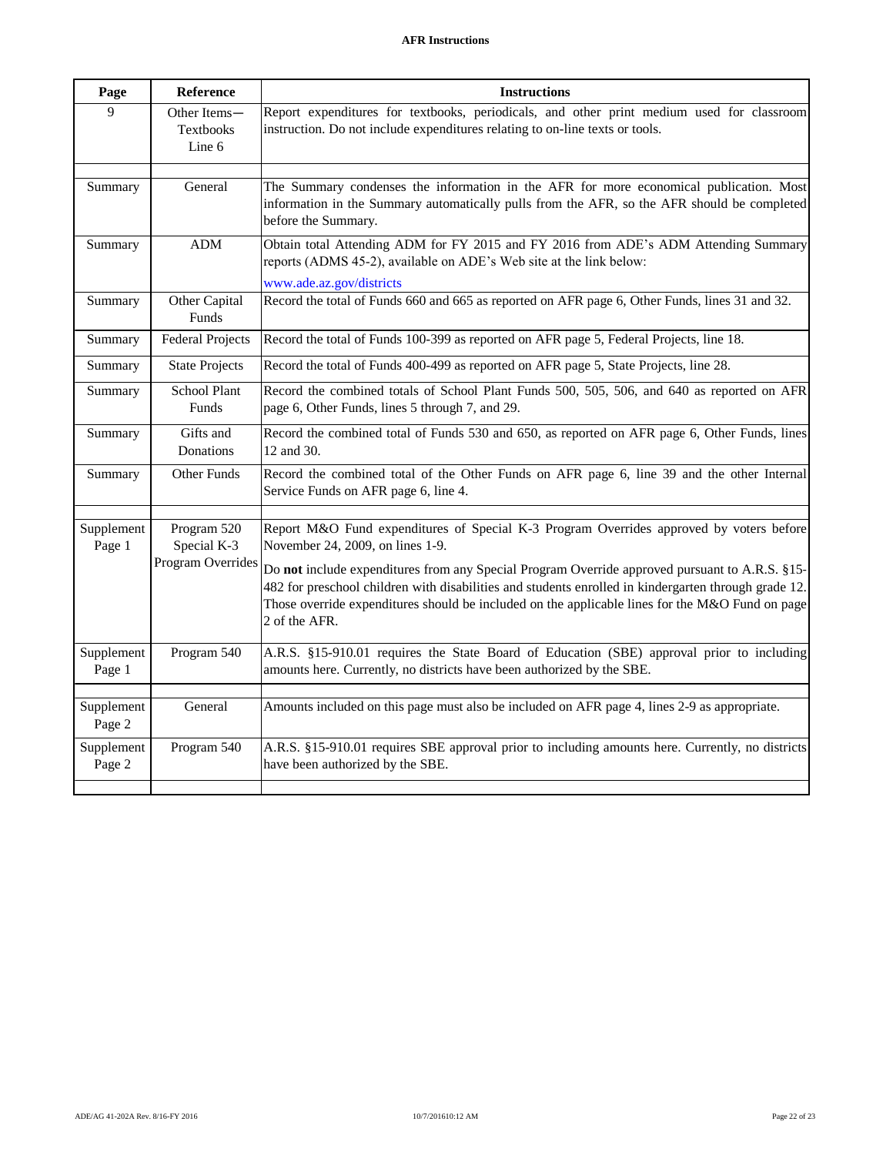| Page                 | Reference                                  | <b>Instructions</b>                                                                                                                                                                                                                                                                                                        |
|----------------------|--------------------------------------------|----------------------------------------------------------------------------------------------------------------------------------------------------------------------------------------------------------------------------------------------------------------------------------------------------------------------------|
| 9                    | Other Items-<br><b>Textbooks</b><br>Line 6 | Report expenditures for textbooks, periodicals, and other print medium used for classroom<br>instruction. Do not include expenditures relating to on-line texts or tools.                                                                                                                                                  |
| Summary              | General                                    | The Summary condenses the information in the AFR for more economical publication. Most<br>information in the Summary automatically pulls from the AFR, so the AFR should be completed<br>before the Summary.                                                                                                               |
| Summary              | ADM                                        | Obtain total Attending ADM for FY 2015 and FY 2016 from ADE's ADM Attending Summary<br>reports (ADMS 45-2), available on ADE's Web site at the link below:<br>www.ade.az.gov/districts                                                                                                                                     |
| Summary              | Other Capital<br>Funds                     | Record the total of Funds 660 and 665 as reported on AFR page 6, Other Funds, lines 31 and 32.                                                                                                                                                                                                                             |
| Summary              | <b>Federal Projects</b>                    | Record the total of Funds 100-399 as reported on AFR page 5, Federal Projects, line 18.                                                                                                                                                                                                                                    |
| Summary              | <b>State Projects</b>                      | Record the total of Funds 400-499 as reported on AFR page 5, State Projects, line 28.                                                                                                                                                                                                                                      |
| Summary              | <b>School Plant</b><br>Funds               | Record the combined totals of School Plant Funds 500, 505, 506, and 640 as reported on AFR<br>page 6, Other Funds, lines 5 through 7, and 29.                                                                                                                                                                              |
| Summary              | Gifts and<br>Donations                     | Record the combined total of Funds 530 and 650, as reported on AFR page 6, Other Funds, lines<br>12 and 30.                                                                                                                                                                                                                |
| Summary              | <b>Other Funds</b>                         | Record the combined total of the Other Funds on AFR page 6, line 39 and the other Internal<br>Service Funds on AFR page 6, line 4.                                                                                                                                                                                         |
| Supplement<br>Page 1 | Program 520<br>Special K-3                 | Report M&O Fund expenditures of Special K-3 Program Overrides approved by voters before<br>November 24, 2009, on lines 1-9.                                                                                                                                                                                                |
|                      | Program Overrides                          | Do not include expenditures from any Special Program Override approved pursuant to A.R.S. §15-<br>482 for preschool children with disabilities and students enrolled in kindergarten through grade 12.<br>Those override expenditures should be included on the applicable lines for the M&O Fund on page<br>2 of the AFR. |
| Supplement<br>Page 1 | Program 540                                | A.R.S. §15-910.01 requires the State Board of Education (SBE) approval prior to including<br>amounts here. Currently, no districts have been authorized by the SBE.                                                                                                                                                        |
| Supplement<br>Page 2 | General                                    | Amounts included on this page must also be included on AFR page 4, lines 2-9 as appropriate.                                                                                                                                                                                                                               |
| Supplement<br>Page 2 | Program 540                                | A.R.S. §15-910.01 requires SBE approval prior to including amounts here. Currently, no districts<br>have been authorized by the SBE.                                                                                                                                                                                       |
|                      |                                            |                                                                                                                                                                                                                                                                                                                            |